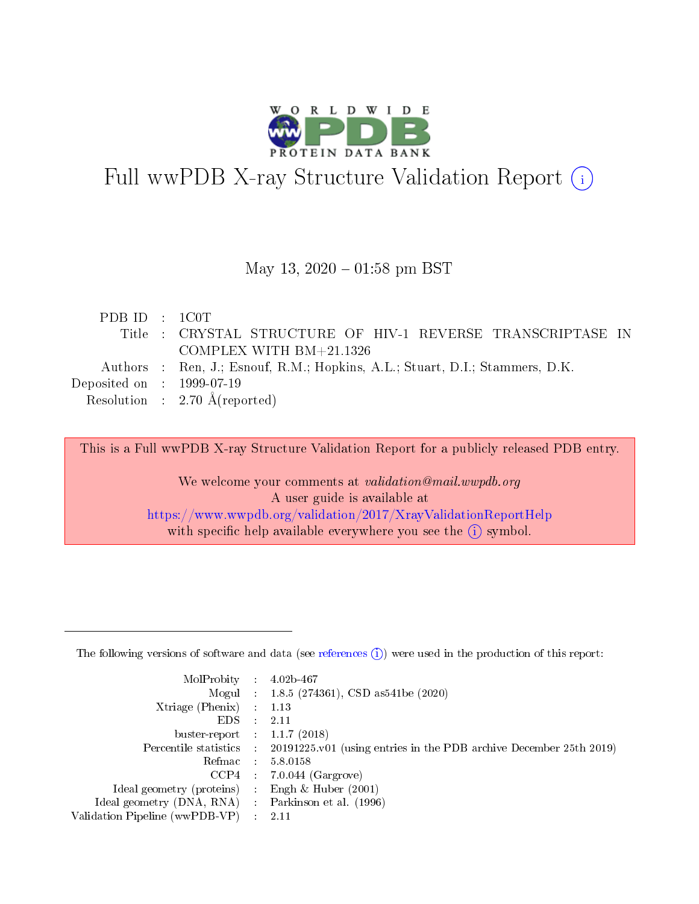

# Full wwPDB X-ray Structure Validation Report (i)

#### May 13,  $2020 - 01:58$  pm BST

| PDB ID : 1C0T                        |                                                                              |
|--------------------------------------|------------------------------------------------------------------------------|
|                                      | Title : CRYSTAL STRUCTURE OF HIV-1 REVERSE TRANSCRIPTASE IN                  |
|                                      | COMPLEX WITH $BM+21.1326$                                                    |
|                                      | Authors : Ren, J.; Esnouf, R.M.; Hopkins, A.L.; Stuart, D.I.; Stammers, D.K. |
| Deposited on $\therefore$ 1999-07-19 |                                                                              |
|                                      | Resolution : $2.70 \text{ Å}$ (reported)                                     |

This is a Full wwPDB X-ray Structure Validation Report for a publicly released PDB entry.

We welcome your comments at validation@mail.wwpdb.org A user guide is available at <https://www.wwpdb.org/validation/2017/XrayValidationReportHelp> with specific help available everywhere you see the  $(i)$  symbol.

The following versions of software and data (see [references](https://www.wwpdb.org/validation/2017/XrayValidationReportHelp#references)  $(1)$ ) were used in the production of this report:

| $MolProbability$ 4.02b-467     |                          |                                                                                            |
|--------------------------------|--------------------------|--------------------------------------------------------------------------------------------|
|                                |                          | Mogul : 1.8.5 (274361), CSD as 541be (2020)                                                |
| $X$ triage (Phenix) :          |                          | 1.13                                                                                       |
| EDS.                           | ÷                        | 2.11                                                                                       |
| buster-report : $1.1.7(2018)$  |                          |                                                                                            |
|                                |                          | Percentile statistics : 20191225.v01 (using entries in the PDB archive December 25th 2019) |
| Refmac                         |                          | 5.8.0158                                                                                   |
| CCP4                           |                          | $7.0.044$ (Gargrove)                                                                       |
| Ideal geometry (proteins)      |                          | Engh $\&$ Huber (2001)                                                                     |
| Ideal geometry (DNA, RNA) :    |                          | Parkinson et al. (1996)                                                                    |
| Validation Pipeline (wwPDB-VP) | $\mathcal{L}_{\rm{max}}$ | -2.11                                                                                      |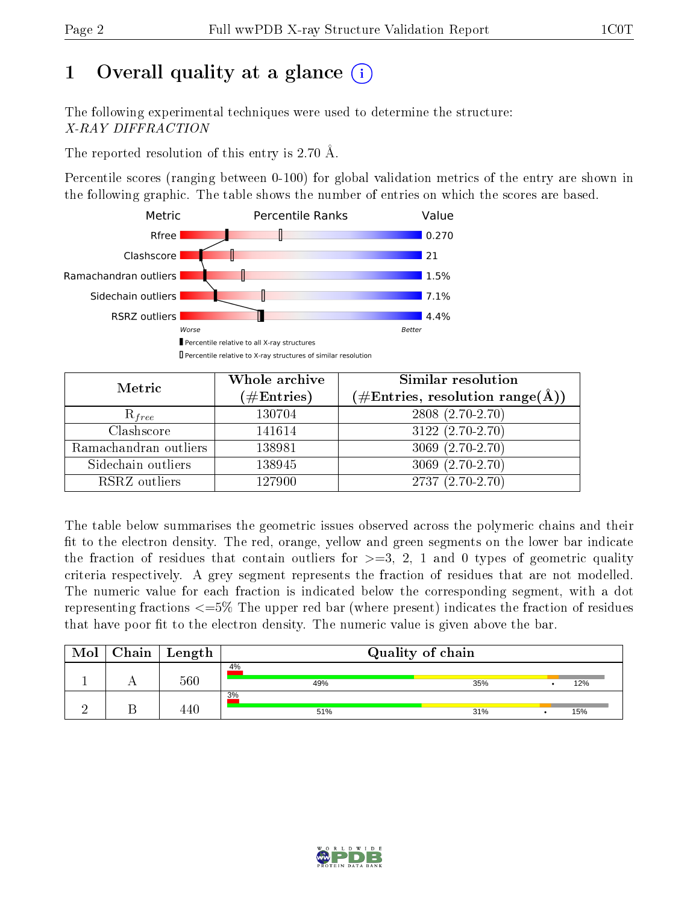# 1 [O](https://www.wwpdb.org/validation/2017/XrayValidationReportHelp#overall_quality)verall quality at a glance  $(i)$

The following experimental techniques were used to determine the structure: X-RAY DIFFRACTION

The reported resolution of this entry is 2.70 Å.

Percentile scores (ranging between 0-100) for global validation metrics of the entry are shown in the following graphic. The table shows the number of entries on which the scores are based.



| Metric                | Whole archive<br>$(\#\text{Entries})$ | Similar resolution<br>$(\#\text{Entries},\,\text{resolution}\,\,\text{range}(\textup{\AA}))$ |
|-----------------------|---------------------------------------|----------------------------------------------------------------------------------------------|
| $R_{free}$            | 130704                                | $2808(2.70-2.70)$                                                                            |
| Clashscore            | 141614                                | $3122(2.70-2.70)$                                                                            |
| Ramachandran outliers | 138981                                | $3069(2.70-2.70)$                                                                            |
| Sidechain outliers    | 138945                                | $3069(2.70-2.70)$                                                                            |
| RSRZ outliers         | 127900                                | $2737(2.70-2.70)$                                                                            |

The table below summarises the geometric issues observed across the polymeric chains and their fit to the electron density. The red, orange, yellow and green segments on the lower bar indicate the fraction of residues that contain outliers for  $>=3, 2, 1$  and 0 types of geometric quality criteria respectively. A grey segment represents the fraction of residues that are not modelled. The numeric value for each fraction is indicated below the corresponding segment, with a dot representing fractions <=5% The upper red bar (where present) indicates the fraction of residues that have poor fit to the electron density. The numeric value is given above the bar.

| Mol | Chain | $\vert$ Length | Quality of chain |     |  |     |  |
|-----|-------|----------------|------------------|-----|--|-----|--|
|     |       | 560            | 4%<br>49%        | 35% |  | 12% |  |
|     |       |                | 3%<br>51%        | 31% |  | 15% |  |

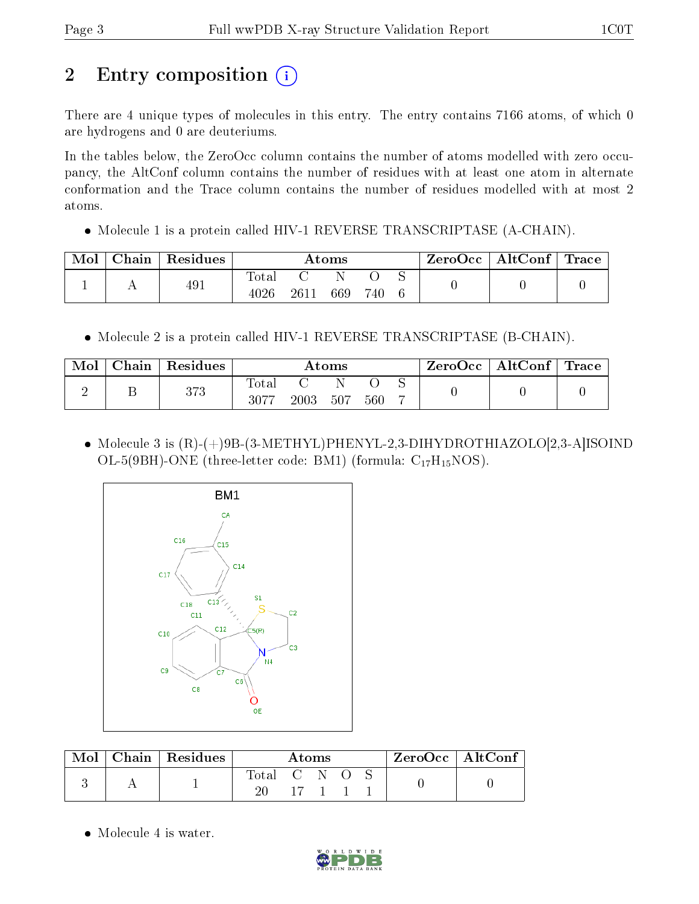# 2 Entry composition (i)

There are 4 unique types of molecules in this entry. The entry contains 7166 atoms, of which 0 are hydrogens and 0 are deuteriums.

In the tables below, the ZeroOcc column contains the number of atoms modelled with zero occupancy, the AltConf column contains the number of residues with at least one atom in alternate conformation and the Trace column contains the number of residues modelled with at most 2 atoms.

• Molecule 1 is a protein called HIV-1 REVERSE TRANSCRIPTASE (A-CHAIN).

| Mol | $\perp$ Chain $\perp$ | Residues | Atoms         |      |     | $\text{ZeroOcc} \mid \text{AltConf} \mid \text{Trace}$ |  |  |  |
|-----|-----------------------|----------|---------------|------|-----|--------------------------------------------------------|--|--|--|
|     |                       | 491      | Total<br>4026 | 2611 | 669 | 740                                                    |  |  |  |

• Molecule 2 is a protein called HIV-1 REVERSE TRANSCRIPTASE (B-CHAIN).

| Mol | Chain | Residues | $\rm{Atoms}$         |      |     |     | ZeroOcc | $\mid$ AltConf $\mid$ Trace $\mid$ |  |  |
|-----|-------|----------|----------------------|------|-----|-----|---------|------------------------------------|--|--|
|     |       | 373      | <b>Total</b><br>3077 | 2003 | 507 | 560 |         |                                    |  |  |

• Molecule 3 is  $(R)$ - $(+)$ 9B- $(3-METHYL)$ PHENYL-2,3-DIHYDROTHIAZOLO $[2,3-A]$ ISOIND OL-5(9BH)-ONE (three-letter code: BM1) (formula:  $C_{17}H_{15}NOS$ ).



| Mol | Chain   Residues |             | Atoms                |  |  | $ZeroOcc \mid AltConf \mid$ |
|-----|------------------|-------------|----------------------|--|--|-----------------------------|
|     |                  | Total C N O |                      |  |  |                             |
|     |                  |             | $17 \quad 1 \quad 1$ |  |  |                             |

• Molecule 4 is water.

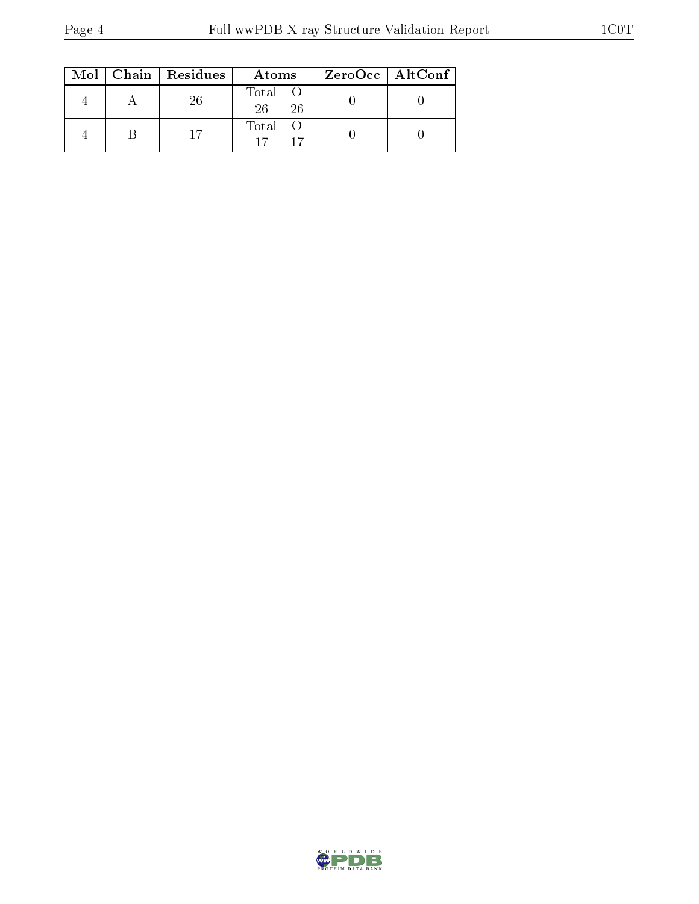|  | $Mol$   Chain   Residues | Atoms               | ZeroOcc   AltConf |
|--|--------------------------|---------------------|-------------------|
|  | 26                       | Total O<br>26<br>26 |                   |
|  |                          | Total O             |                   |

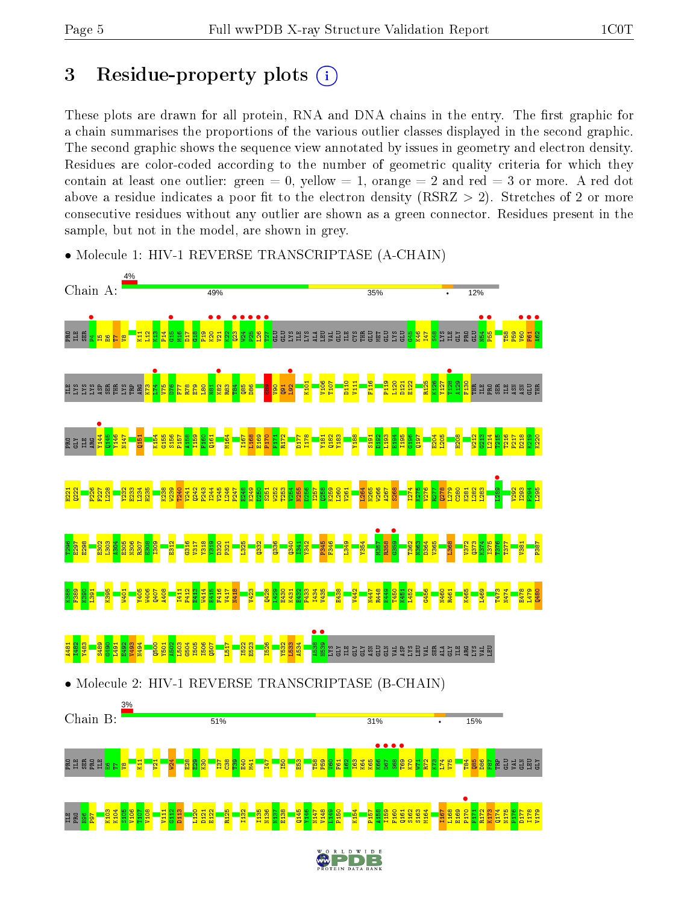# 3 Residue-property plots  $(i)$

These plots are drawn for all protein, RNA and DNA chains in the entry. The first graphic for a chain summarises the proportions of the various outlier classes displayed in the second graphic. The second graphic shows the sequence view annotated by issues in geometry and electron density. Residues are color-coded according to the number of geometric quality criteria for which they contain at least one outlier: green  $= 0$ , yellow  $= 1$ , orange  $= 2$  and red  $= 3$  or more. A red dot above a residue indicates a poor fit to the electron density (RSRZ  $> 2$ ). Stretches of 2 or more consecutive residues without any outlier are shown as a green connector. Residues present in the sample, but not in the model, are shown in grey.



• Molecule 1: HIV-1 REVERSE TRANSCRIPTASE (A-CHAIN)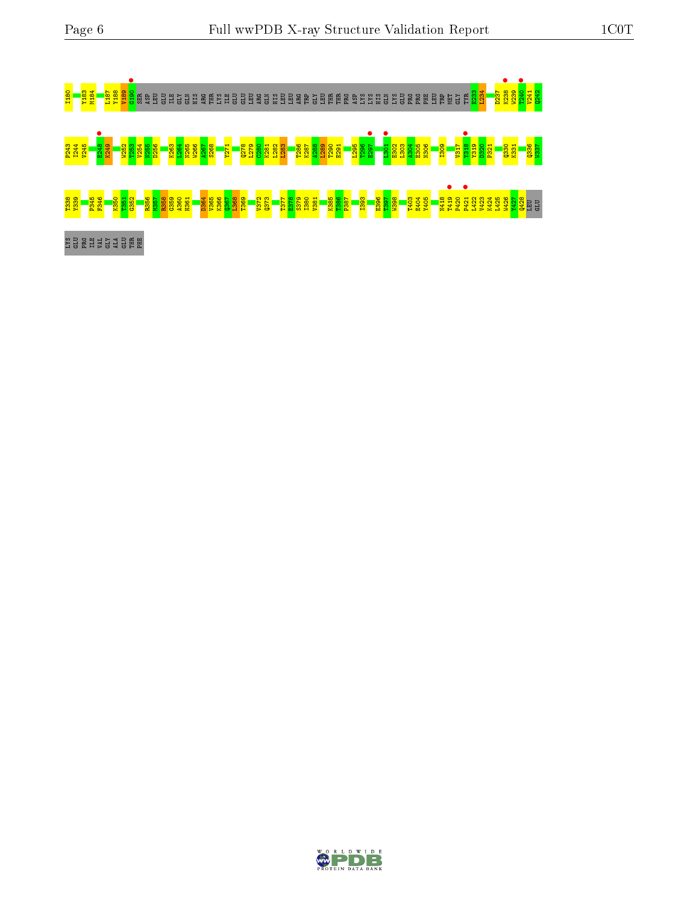

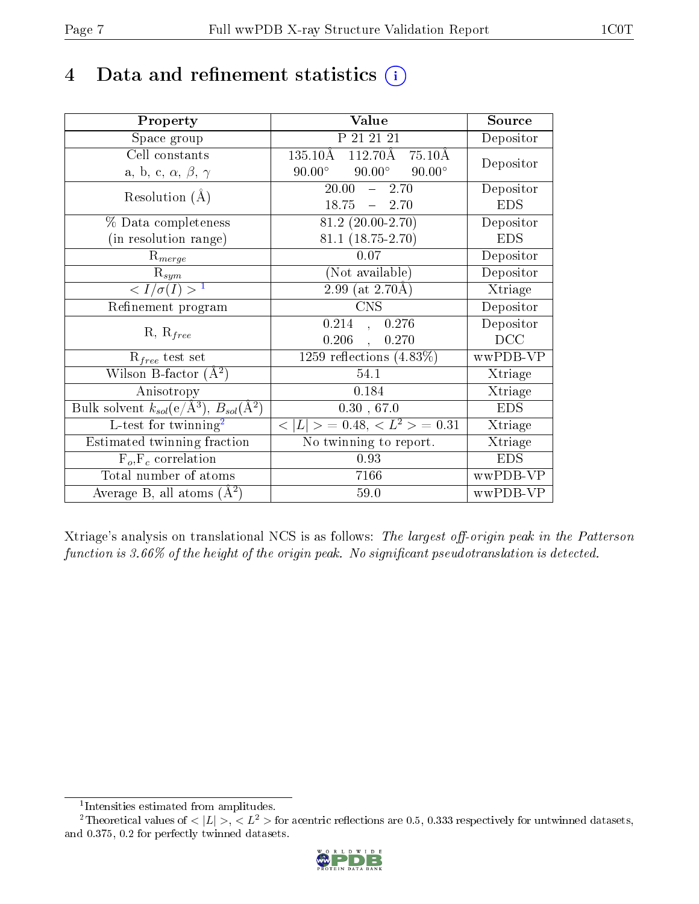# 4 Data and refinement statistics  $(i)$

| Property                                                         | Value                                           | Source     |
|------------------------------------------------------------------|-------------------------------------------------|------------|
| Space group                                                      | P 21 21 21                                      | Depositor  |
| Cell constants                                                   | $112.70\text{\AA}$ 75.10Å<br>$135.10\text{\AA}$ | Depositor  |
| a, b, c, $\alpha$ , $\beta$ , $\gamma$                           | $90.00^\circ$<br>$90.00^\circ$<br>$90.00^\circ$ |            |
| Resolution $(A)$                                                 | 20.00<br>2.70<br>$\frac{1}{2}$                  | Depositor  |
|                                                                  | $18.75 - 2.70$                                  | <b>EDS</b> |
| % Data completeness                                              | $81.2(20.00-2.70)$                              | Depositor  |
| (in resolution range)                                            | $81.1(18.75-2.70)$                              | <b>EDS</b> |
| $R_{merge}$                                                      | 0.07                                            | Depositor  |
| $\mathrm{R}_{sym}$                                               | (Not available)                                 | Depositor  |
| $\langle I/\sigma(I) \rangle^{-1}$                               | $2.99$ (at 2.70Å)                               | Xtriage    |
| Refinement program                                               | <b>CNS</b>                                      | Depositor  |
|                                                                  | 0.214<br>0.276<br>$\frac{1}{2}$                 | Depositor  |
| $R, R_{free}$                                                    | 0.206<br>0.270<br>$\mathcal{A}^{\pm}$           | DCC        |
| $R_{free}$ test set                                              | 1259 reflections $(4.83\%)$                     | wwPDB-VP   |
| Wilson B-factor $(A^2)$                                          | 54.1                                            | Xtriage    |
| Anisotropy                                                       | 0.184                                           | Xtriage    |
| Bulk solvent $k_{sol}(\text{e}/\text{A}^3), B_{sol}(\text{A}^2)$ | 0.30, 67.0                                      | <b>EDS</b> |
| L-test for $\mathrm{twinning}^2$                                 | $< L >$ = 0.48, $< L2 >$ = 0.31                 | Xtriage    |
| Estimated twinning fraction                                      | No twinning to report.                          | Xtriage    |
| $F_o, F_c$ correlation                                           | 0.93                                            | <b>EDS</b> |
| Total number of atoms                                            | 7166                                            | wwPDB-VP   |
| Average B, all atoms $(A^2)$                                     | 59.0                                            | wwPDB-VP   |

Xtriage's analysis on translational NCS is as follows: The largest off-origin peak in the Patterson function is  $3.66\%$  of the height of the origin peak. No significant pseudotranslation is detected.

<sup>&</sup>lt;sup>2</sup>Theoretical values of  $\langle |L| \rangle$ ,  $\langle L^2 \rangle$  for acentric reflections are 0.5, 0.333 respectively for untwinned datasets, and 0.375, 0.2 for perfectly twinned datasets.



<span id="page-6-1"></span><span id="page-6-0"></span><sup>1</sup> Intensities estimated from amplitudes.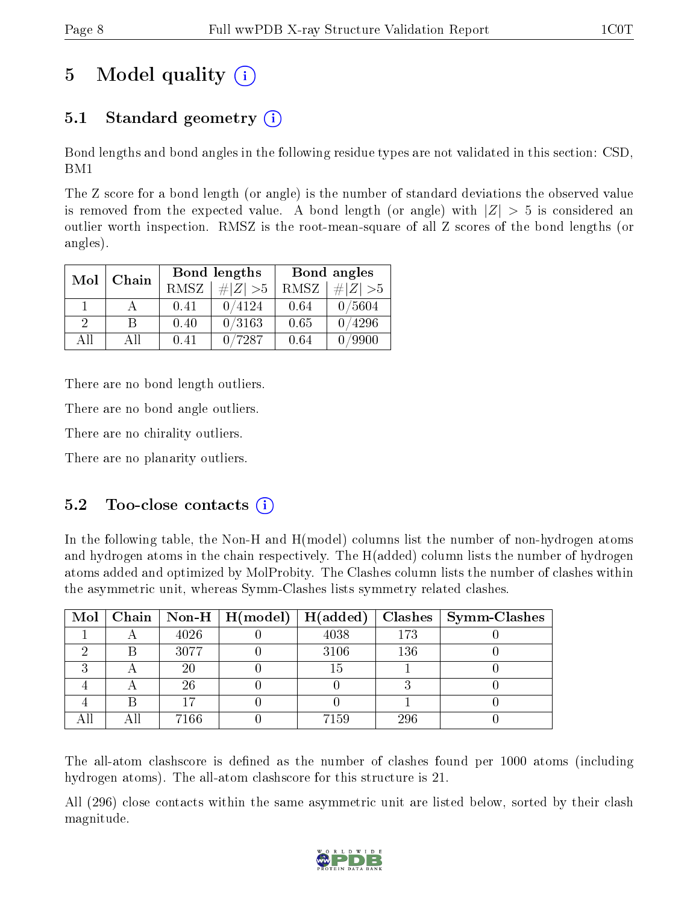# 5 Model quality  $(i)$

## 5.1 Standard geometry  $(i)$

Bond lengths and bond angles in the following residue types are not validated in this section: CSD, BM1

The Z score for a bond length (or angle) is the number of standard deviations the observed value is removed from the expected value. A bond length (or angle) with  $|Z| > 5$  is considered an outlier worth inspection. RMSZ is the root-mean-square of all Z scores of the bond lengths (or angles).

| Mol           | Chain |      | <b>Bond lengths</b> | Bond angles |                    |  |
|---------------|-------|------|---------------------|-------------|--------------------|--|
|               |       | RMSZ | $\# Z  > 5$         | RMSZ        | $\ Z\  > 5$        |  |
|               |       | 0.41 | 0/4124              | 0.64        | 0/5604             |  |
| $\mathcal{D}$ | R     | 0.40 | 0/3163              | 0.65        | 0/4296             |  |
| AΠ            | АH    | 0.41 | 7287                | 0.64        | $^\prime\!\!.9900$ |  |

There are no bond length outliers.

There are no bond angle outliers.

There are no chirality outliers.

There are no planarity outliers.

### $5.2$  Too-close contacts  $(i)$

In the following table, the Non-H and H(model) columns list the number of non-hydrogen atoms and hydrogen atoms in the chain respectively. The H(added) column lists the number of hydrogen atoms added and optimized by MolProbity. The Clashes column lists the number of clashes within the asymmetric unit, whereas Symm-Clashes lists symmetry related clashes.

|   |      | Mol   Chain   Non-H   $H (model)$   $H (added)$ |      |     | Clashes   Symm-Clashes |
|---|------|-------------------------------------------------|------|-----|------------------------|
|   | 4026 |                                                 | 4038 | 173 |                        |
|   | 3077 |                                                 | 3106 | 136 |                        |
| ച | 20   |                                                 | 15   |     |                        |
|   | 26   |                                                 |      |     |                        |
|   |      |                                                 |      |     |                        |
|   | 7166 |                                                 | 7159 | 296 |                        |

The all-atom clashscore is defined as the number of clashes found per 1000 atoms (including hydrogen atoms). The all-atom clashscore for this structure is 21.

All (296) close contacts within the same asymmetric unit are listed below, sorted by their clash magnitude.

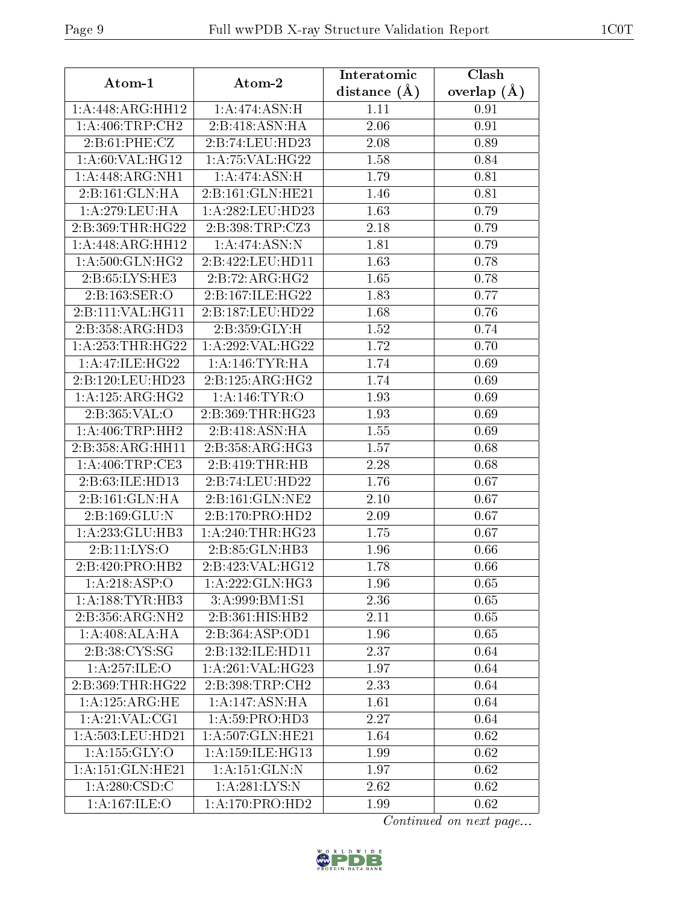| distance $(\AA)$<br>overlap $(A)$<br>1:A:448:ARG:HH12<br>1:A:474:ASN:H<br>1.11<br>0.91<br>2:B:418:ASN:HA<br>1: A:406:TRP:CH2<br>2.06<br>0.91<br>2: B:61: PHE: CZ<br>2:B:74:LEU:HD23<br>2.08<br>0.89<br>1: A:60: VAL:HG12<br>1: A:75: VAL:HG22<br>0.84<br>1.58<br>1:A:448:ARG:NH1<br>1:A:474:ASN:H<br>1.79<br>0.81<br>2:B:161:GLN:HA<br>2:B:161:GLN:HE21<br>1.46<br>0.81<br>1: A:279:LEU:HA<br>1:A:282:LEU:HD23<br>1.63<br>0.79<br>2:B:398:TRP:CZ3<br>2.18<br>2:B:369:THR:HG22<br>0.79<br>1:A:474:ASN:N<br>1:A:448:ARG:HH12<br>1.81<br>0.79<br>1: A:500: GLN: HG2<br>2:B:422:LEU:HD11<br>1.63<br>0.78<br>2:B:65:LYS:HE3<br>2:B:72:ARG:HG2<br>1.65<br>0.78 | Atom-1 | Atom-2 | Interatomic | Clash |
|----------------------------------------------------------------------------------------------------------------------------------------------------------------------------------------------------------------------------------------------------------------------------------------------------------------------------------------------------------------------------------------------------------------------------------------------------------------------------------------------------------------------------------------------------------------------------------------------------------------------------------------------------------|--------|--------|-------------|-------|
|                                                                                                                                                                                                                                                                                                                                                                                                                                                                                                                                                                                                                                                          |        |        |             |       |
|                                                                                                                                                                                                                                                                                                                                                                                                                                                                                                                                                                                                                                                          |        |        |             |       |
|                                                                                                                                                                                                                                                                                                                                                                                                                                                                                                                                                                                                                                                          |        |        |             |       |
|                                                                                                                                                                                                                                                                                                                                                                                                                                                                                                                                                                                                                                                          |        |        |             |       |
|                                                                                                                                                                                                                                                                                                                                                                                                                                                                                                                                                                                                                                                          |        |        |             |       |
|                                                                                                                                                                                                                                                                                                                                                                                                                                                                                                                                                                                                                                                          |        |        |             |       |
|                                                                                                                                                                                                                                                                                                                                                                                                                                                                                                                                                                                                                                                          |        |        |             |       |
|                                                                                                                                                                                                                                                                                                                                                                                                                                                                                                                                                                                                                                                          |        |        |             |       |
|                                                                                                                                                                                                                                                                                                                                                                                                                                                                                                                                                                                                                                                          |        |        |             |       |
|                                                                                                                                                                                                                                                                                                                                                                                                                                                                                                                                                                                                                                                          |        |        |             |       |
|                                                                                                                                                                                                                                                                                                                                                                                                                                                                                                                                                                                                                                                          |        |        |             |       |
|                                                                                                                                                                                                                                                                                                                                                                                                                                                                                                                                                                                                                                                          |        |        |             |       |
| 2:B:163:SER:O<br>2:B:167:ILE:HG22<br>1.83<br>0.77                                                                                                                                                                                                                                                                                                                                                                                                                                                                                                                                                                                                        |        |        |             |       |
| 2:B:111:VAL:HG11<br>1.68<br>0.76<br>2:B:187:LEU:HD22                                                                                                                                                                                                                                                                                                                                                                                                                                                                                                                                                                                                     |        |        |             |       |
| 2:B:358:ARG:HD3<br>2: B:359: GLY:H<br>1.52<br>0.74                                                                                                                                                                                                                                                                                                                                                                                                                                                                                                                                                                                                       |        |        |             |       |
| 1: A: 253: THR: HG22<br>1:A:292:VAL:HG22<br>1.72<br>0.70                                                                                                                                                                                                                                                                                                                                                                                                                                                                                                                                                                                                 |        |        |             |       |
| 1: A:47: ILE: HG22<br>1: A:146:TYR:HA<br>1.74<br>0.69                                                                                                                                                                                                                                                                                                                                                                                                                                                                                                                                                                                                    |        |        |             |       |
| 2:B:125:ARG:HG2<br>1.74<br>0.69<br>2:B:120:LEU:HD23                                                                                                                                                                                                                                                                                                                                                                                                                                                                                                                                                                                                      |        |        |             |       |
| 1:A:125:ARG:HG2<br>1: A:146: TYR:O<br>1.93<br>0.69                                                                                                                                                                                                                                                                                                                                                                                                                                                                                                                                                                                                       |        |        |             |       |
| 2:B:365:VAL:O<br>2:B:369:THR:HG23<br>1.93<br>0.69                                                                                                                                                                                                                                                                                                                                                                                                                                                                                                                                                                                                        |        |        |             |       |
| 1: A:406:TRP:HH2<br>2:B:418:ASN:HA<br>1.55<br>0.69                                                                                                                                                                                                                                                                                                                                                                                                                                                                                                                                                                                                       |        |        |             |       |
| 2:B:358:ARG:HH11<br>2:B:358:ARG:HG3<br>1.57<br>0.68                                                                                                                                                                                                                                                                                                                                                                                                                                                                                                                                                                                                      |        |        |             |       |
| $1:$ A:406:TRP:CE3<br>2:B:419:THR:HB<br>2.28<br>0.68                                                                                                                                                                                                                                                                                                                                                                                                                                                                                                                                                                                                     |        |        |             |       |
| 2:B:63:ILE:HD13<br>2:B:74:LEU:HD22<br>1.76<br>0.67                                                                                                                                                                                                                                                                                                                                                                                                                                                                                                                                                                                                       |        |        |             |       |
| 2: B: 161: GLN: HA<br>2:B:161:GLN:NE2<br>2.10<br>0.67                                                                                                                                                                                                                                                                                                                                                                                                                                                                                                                                                                                                    |        |        |             |       |
| 2:B:169:GLU:N<br>2:B:170:PRO:HD2<br>2.09<br>0.67                                                                                                                                                                                                                                                                                                                                                                                                                                                                                                                                                                                                         |        |        |             |       |
| 1:A:233:GLU:HB3<br>1: A:240:THR:HG23<br>1.75<br>0.67                                                                                                                                                                                                                                                                                                                                                                                                                                                                                                                                                                                                     |        |        |             |       |
| 2:B:11:LYS:O<br>2:B:85:GLN:HB3<br>1.96<br>0.66                                                                                                                                                                                                                                                                                                                                                                                                                                                                                                                                                                                                           |        |        |             |       |
| 2:B:423:VAL:HG12<br>2:B:420:PRO:HB2<br>1.78<br>0.66                                                                                                                                                                                                                                                                                                                                                                                                                                                                                                                                                                                                      |        |        |             |       |
| 1:A:218:ASP:O<br>1:A:222:GLN:HG3<br>1.96<br>0.65                                                                                                                                                                                                                                                                                                                                                                                                                                                                                                                                                                                                         |        |        |             |       |
| 1: A: 188: TYR: HB3<br>3:A:999:BM1:S1<br>2.36<br>0.65                                                                                                                                                                                                                                                                                                                                                                                                                                                                                                                                                                                                    |        |        |             |       |
| 2:B:356:ARG:NH2<br>2:B:361:HIS:HB2<br>0.65<br>2.11                                                                                                                                                                                                                                                                                                                                                                                                                                                                                                                                                                                                       |        |        |             |       |
| 1: A:408:ALA:HA<br>2:B:364:ASP:OD1<br>0.65<br>1.96                                                                                                                                                                                                                                                                                                                                                                                                                                                                                                                                                                                                       |        |        |             |       |
| 2:B:38:CYS:SG<br>2:B:132:ILE:HD11<br>2.37<br>0.64                                                                                                                                                                                                                                                                                                                                                                                                                                                                                                                                                                                                        |        |        |             |       |
| 1:A:261:VAL:HG23<br>1:A:257:ILE:O<br>1.97<br>0.64                                                                                                                                                                                                                                                                                                                                                                                                                                                                                                                                                                                                        |        |        |             |       |
| 2:B:369:THR:HG22<br>2:B:398:TRP:CH2<br>2.33<br>0.64                                                                                                                                                                                                                                                                                                                                                                                                                                                                                                                                                                                                      |        |        |             |       |
| 1: A: 125: ARG: HE<br>1:A:147:ASN:HA<br>1.61<br>0.64                                                                                                                                                                                                                                                                                                                                                                                                                                                                                                                                                                                                     |        |        |             |       |
| $1:A:21:\overline{VAL:CG1}$<br>$1:A:59:P\overline{RO:HD3}$<br>2.27<br>0.64                                                                                                                                                                                                                                                                                                                                                                                                                                                                                                                                                                               |        |        |             |       |
| 1: A:503:LEU:HD21<br>1:A:507:GLN:HE21<br>0.62<br>1.64                                                                                                                                                                                                                                                                                                                                                                                                                                                                                                                                                                                                    |        |        |             |       |
| 1:A:155:GLY:O<br>1: A:159: ILE: HG13<br>1.99<br>0.62                                                                                                                                                                                                                                                                                                                                                                                                                                                                                                                                                                                                     |        |        |             |       |
| 1:A:151:GLN:HE21<br>1:A:151:GLN:N<br>0.62<br>1.97                                                                                                                                                                                                                                                                                                                                                                                                                                                                                                                                                                                                        |        |        |             |       |
| 1: A:280: CSD:C<br>1:A:281:LYS:N<br>2.62<br>0.62                                                                                                                                                                                                                                                                                                                                                                                                                                                                                                                                                                                                         |        |        |             |       |
| $1:A:\overline{167:ILE:O}$<br>$1:A:170:P\overline{RO:HD2}$<br>0.62<br>1.99                                                                                                                                                                                                                                                                                                                                                                                                                                                                                                                                                                               |        |        |             |       |

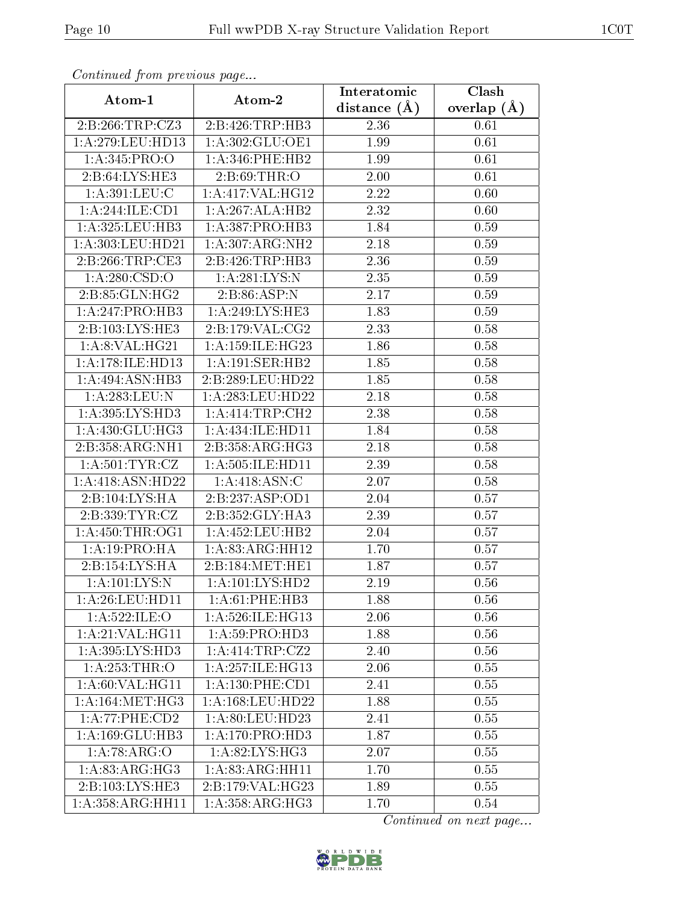| Continuea from previous page  |                               | Interatomic    | Clash         |  |
|-------------------------------|-------------------------------|----------------|---------------|--|
| Atom-1                        | Atom-2                        | distance $(A)$ | overlap $(A)$ |  |
| 2:B:266:TRP:CZ3               | 2:B:426:TRP:HB3               | 2.36           | 0.61          |  |
| 1:A:279:LEU:HD13              | 1: A:302: GLU:OE1             | 1.99           | 0.61          |  |
| 1: A:345: PRO:O               | $1: A:346:$ PHE:HB2           | 1.99           | 0.61          |  |
| 2:B:64:LYS:HE3                | 2:B:69:THR:O                  | 2.00           | 0.61          |  |
| 1: A:391:LEU:C                | 1: A:417: VAL:HG12            | 2.22           | 0.60          |  |
| 1:A:244:ILE:CD1               | 1:A:267:ALA:HB2               | 2.32           | 0.60          |  |
| 1:A:325:LEU:HB3               | 1:A:387:PRO:HB3               | 1.84           | 0.59          |  |
| 1:A:303:LEU:HD21              | 1: A:307: ARG: NH2            | 2.18           | 0.59          |  |
| 2:B:266:TRP:CE3               | 2:B:426:TRP:HB3               | 2.36           | 0.59          |  |
| 1:A:280:CSD:O                 | 1:A:281:LYS:N                 | 2.35           | 0.59          |  |
| 2:B:85:GLN:HG2                | 2:B:86:ASP:N                  | 2.17           | 0.59          |  |
| 1:A:247:PRO:HB3               | 1: A:249: LYS: HE3            | 1.83           | 0.59          |  |
| 2:B:103:LYS:HE3               | 2: B: 179: VAL: CG2           | 2.33           | 0.58          |  |
| 1: A:8: VAL: HG21             | 1: A:159: ILE: HG23           | 1.86           | 0.58          |  |
| 1:A:178:ILE:HD13              | 1:A:191:SER:HB2               | 1.85           | 0.58          |  |
| 1:A:494:ASN:HB3               | 2:B:289:LEU:HD22              | 1.85           | 0.58          |  |
| 1:A:283:LEU:N                 | 1: A: 283: LEU: HD22          | 2.18           | 0.58          |  |
| 1:A:395:LYS:HD3               | 1:A:414:TRP:CH2               | 2.38           | 0.58          |  |
| $1:A:\overline{430:GLU:HG3}$  | $1:A:434:ILE:H\overline{D11}$ | 1.84           | 0.58          |  |
| 2:B:358:ARG:NH1               | 2:B:358:ARG:HG3               | 2.18           | 0.58          |  |
| 1: A:501:TYR:CZ               | 1:A:505:ILE:HD11              | 2.39           | 0.58          |  |
| 1:A:418:ASN:HD22              | 1:A:418:ASN:C                 | 2.07           | 0.58          |  |
| 2:B:104:LYS:HA                | 2:B:237:ASP:OD1               | 2.04           | 0.57          |  |
| 2: B: 339: TYR: CZ            | 2:B:352:GLY:HA3               | 2.39           | 0.57          |  |
| 1: A:450:THR:OG1              | 1: A: 452: LEU: HB2           | 2.04           | 0.57          |  |
| 1: A: 19: PRO: HA             | 1:A:83:ARG:HH12               | 1.70           | 0.57          |  |
| 2:B:154:LYS:HA                | 2:B:184:MET:HE1               | 1.87           | 0.57          |  |
| 1: A: 101: LYS:N              | 1: A: 101: LYS: HD2           | 2.19           | 0.56          |  |
| 1: A:26:LEU:HD11              | 1: A:61:PHE:HB3               | 1.88           | 0.56          |  |
| 1:A:522:ILE:O                 | 1: A:526: ILE: HG13           | 2.06           | 0.56          |  |
| 1:A:21:VAL:HG11               | 1:A:59:PRO:HD3                | 1.88           | 0.56          |  |
| $1:A:395:LY\overline{S:HD3}$  | 1:A:414:TRP:CZ2               | 2.40           | 0.56          |  |
| 1: A: 253: THR:O              | 1:A:257:ILE:HG13              | 2.06           | 0.55          |  |
| 1:A:60:VAL:HG11               | 1: A: 130: PHE: CD1           | 2.41           | 0.55          |  |
| 1: A:164: MET:HG3             | $1: A: 168:$ LEU:HD22         | 1.88           | 0.55          |  |
| 1:A:77:PHE:CD2                | 1:A:80:LEU:HD23               | 2.41           | 0.55          |  |
| 1:A:169:GLU:HB3               | 1: A:170: PRO:HD3             | 1.87           | 0.55          |  |
| 1:A:78:ARG:O                  | 1: A:82: LYS: HG3             | 2.07           | 0.55          |  |
| 1: A:83:ARG:HG3               | 1: A:83: ARG: HH11            | 1.70           | 0.55          |  |
| 2:B:103:LYS:HE3               | 2:B:179:VAL:HG23              | 1.89           | 0.55          |  |
| $1:A:358:ARG:\overline{HH11}$ | 1: A:358:ARG:HG3              | 1.70           | 0.54          |  |

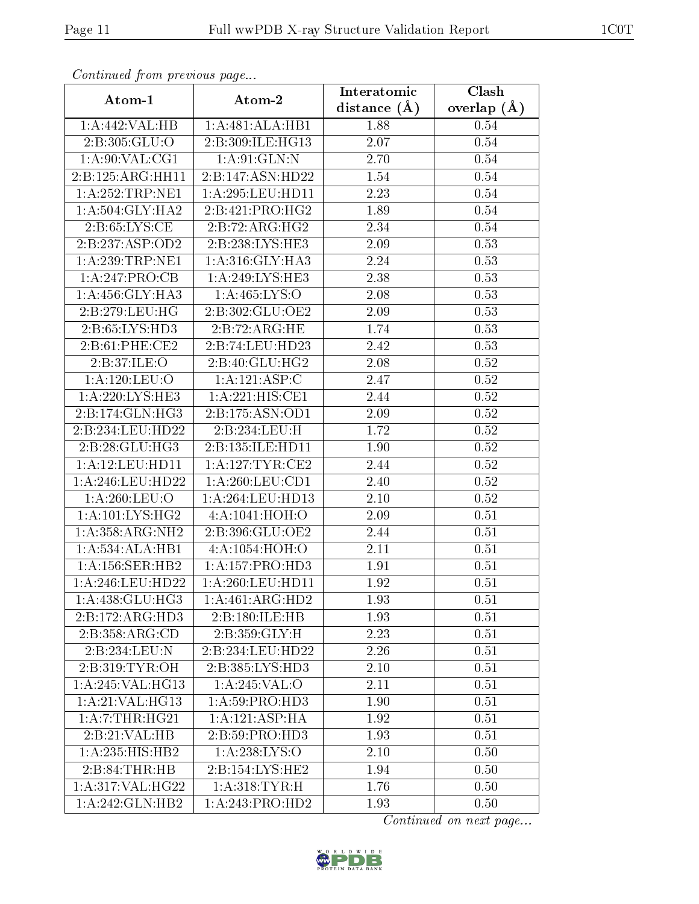| Continuea from previous page<br>Clash<br>Interatomic |                              |                |                 |  |  |
|------------------------------------------------------|------------------------------|----------------|-----------------|--|--|
| Atom-1                                               | Atom-2                       | distance $(A)$ | overlap $(\AA)$ |  |  |
| 1:A:442:VAL:HB                                       | 1:A:481:ALA:HB1              | 1.88           | 0.54            |  |  |
| 2:B:305:GLU:O                                        | 2:B:309:ILE:HG13             | 2.07           | 0.54            |  |  |
| 1: A:90: VAL:CG1                                     | 1: A:91: GLN:N               | 2.70           | 0.54            |  |  |
| 2:B:125:ARG:HH11                                     | 2:B:147:ASN:HD22             | 1.54           | 0.54            |  |  |
| 1: A: 252: TRP: NE1                                  | 1: A:295:LEU:HD11            | 2.23           | 0.54            |  |  |
| 1: A:504: GLY:HA2                                    | 2:B:421:PRO:HG2              | 1.89           | 0.54            |  |  |
| 2:B:65:LYS:CE                                        | 2:B:72:ARG:HG2               | 2.34           | 0.54            |  |  |
| 2:B:237:ASP:OD2                                      | 2:B:238:LYS:HE3              | 2.09           | 0.53            |  |  |
| 1: A:239:TRP:NE1                                     | 1: A:316: GLY:HA3            | 2.24           | 0.53            |  |  |
| 1:A:247:PRO:CB                                       | 1: A:249: LYS: HE3           | 2.38           | 0.53            |  |  |
| 1: A: 456: GLY: HA3                                  | 1: A: 465: LYS: O            | 2.08           | 0.53            |  |  |
| 2: B: 279: LEU: HG                                   | 2:B:302:GLU:OE2              | 2.09           | 0.53            |  |  |
| 2:B:65:LYS:HD3                                       | 2:B:72:ARG:HE                | 1.74           | 0.53            |  |  |
| 2:B:61:PHE:CE2                                       | 2:B:74:LEU:HD23              | 2.42           | 0.53            |  |  |
| 2:B:37:ILE:O                                         | 2:B:40:GLU:HG2               | 2.08           | 0.52            |  |  |
| 1:A:120:LEU:O                                        | 1:A:121:ASP:C                | 2.47           | 0.52            |  |  |
| 1:A:220:LYS:HE3                                      | 1:A:221:HIS:CE1              | 2.44           | 0.52            |  |  |
| 2:B:174:GLN:HG3                                      | 2:B:175:ASN:OD1              | 2.09           | 0.52            |  |  |
| 2:B:234:LEU:HD22                                     | 2:B:234:LEU:H                | 1.72           | $0.52\,$        |  |  |
| 2:B:28:GLU:HG3                                       | 2:B:135:ILE:HD11             | 1.90           | 0.52            |  |  |
| 1:A:12:LEU:HD11                                      | 1: A:127:TYR:CE2             | 2.44           | 0.52            |  |  |
| 1: A:246:LEU:HD22                                    | 1: A:260:LEU:CD1             | 2.40           | 0.52            |  |  |
| 1:A:260:LEU:O                                        | 1:A:264:LEU:HD13             | 2.10           | 0.52            |  |  |
| 1: A: 101: LYS: HG2                                  | 4:A:1041:HOH:O               | 2.09           | 0.51            |  |  |
| 1:A:358:ARG:NH2                                      | 2:B:396:GLU:OE2              | 2.44           | 0.51            |  |  |
| $1:A:534:ALA:\overline{HB1}$                         | 4:A:1054:HOH:O               | 2.11           | 0.51            |  |  |
| 1: A:156: SER: HB2                                   | 1: A: 157: PRO: HD3          | 1.91           | 0.51            |  |  |
| 1:A:246:LEU:HD22                                     | 1:A:260:LEU:HD11             | 1.92           | 0.51            |  |  |
| 1: A:438: GLU:HG3                                    | 1:A:461:ARG:HD2              | 1.93           | 0.51            |  |  |
| 2:B:172:ARG:HD3                                      | 2:B:180:ILE:HB               | 1.93           | 0.51            |  |  |
| 2:B:358:ARG:CD                                       | 2:B:359:GLY:H                | 2.23           | 0.51            |  |  |
| 2:B:234:LEU:N                                        | 2:B:234:LEU:HD22             | 2.26           | 0.51            |  |  |
| 2: B: 319: TYR: OH                                   | $2:B:385:LYS:H\overline{D3}$ | 2.10           | 0.51            |  |  |
| 1:A:245:VAL:HG13                                     | 1:A:245:VAL:O                | 2.11           | 0.51            |  |  |
| 1:A:21:VAL:HG13                                      | 1:A:59:PRO:HD3               | 1.90           | 0.51            |  |  |
| 1: A: 7: THR: HG21                                   | 1:A:121:ASP:HA               | 1.92           | 0.51            |  |  |
| 2:B:21:VAL:HB                                        | 2: B:59: PRO:HD3             | 1.93           | 0.51            |  |  |
| 1:A:235:HIS:HB2                                      | 1: A:238: LYS:O              | 2.10           | 0.50            |  |  |
| 2:B:84:THR:HB                                        | 2:B:154:LYS:HE2              | 1.94           | 0.50            |  |  |
| 1: A:317: VAL:HG22                                   | 1: A:318: TYR:H              | 1.76           | 0.50            |  |  |
| 1:A:242:GLN:HB2                                      | 1:A:243:PRO:HD2              | 1.93           | 0.50            |  |  |

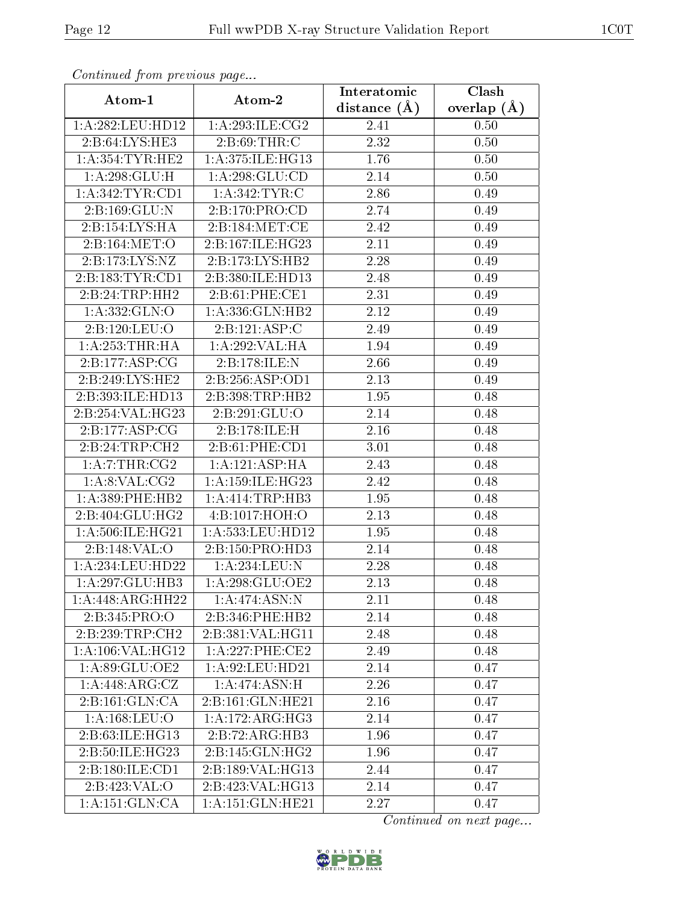| Continuea from previous page<br>Clash<br>Interatomic |                     |                   |               |  |  |
|------------------------------------------------------|---------------------|-------------------|---------------|--|--|
| Atom-1                                               | Atom-2              | distance $(A)$    | overlap $(A)$ |  |  |
| 1: A:282:LEU:HD12                                    | 1:A:293:ILE:CG2     | 2.41              | 0.50          |  |  |
| 2:B:64:LYS:HE3                                       | 2: B:69:THR:C       | 2.32              | 0.50          |  |  |
| 1: A: 354: TYR: HE2                                  | 1: A:375: ILE: HG13 | 1.76              | 0.50          |  |  |
| 1: A:298: GLU:H                                      | 1: A:298: GLU:CD    | 2.14              | 0.50          |  |  |
| 1: A:342:TYR:CD1                                     | 1: A:342:TYR:C      | 2.86              | 0.49          |  |  |
| 2:B:169:GLU:N                                        | 2: B: 170: PRO: CD  | 2.74              | 0.49          |  |  |
| 2:B:154:LYS:HA                                       | 2:B:184:MET:CE      | 2.42              | 0.49          |  |  |
| 2:B:164:MET:O                                        | 2:B:167:ILE:HG23    | 2.11              | 0.49          |  |  |
| 2:B:173:LYS:NZ                                       | 2:B:173:LYS:HB2     | 2.28              | 0.49          |  |  |
| 2: B: 183: TYR: CD1                                  | 2:B:380:ILE:HD13    | 2.48              | 0.49          |  |  |
| 2:B:24:TRP:HH2                                       | 2: B:61:PHE:CE1     | 2.31              | 0.49          |  |  |
| 1:A:332:GLN:O                                        | 1:A:336:GLN:HB2     | 2.12              | 0.49          |  |  |
| 2:B:120:LEU:O                                        | 2:B:121:ASP:C       | 2.49              | 0.49          |  |  |
| 1: A:253:THR:HA                                      | 1:A:292:VAL:HA      | 1.94              | 0.49          |  |  |
| 2:B:177:ASP:CG                                       | 2:B:178:ILE:N       | 2.66              | 0.49          |  |  |
| 2:B:249:LYS:HE2                                      | 2:B:256:ASP:OD1     | 2.13              | 0.49          |  |  |
| 2:B:393:ILE:HD13                                     | 2:B:398:TRP:HB2     | 1.95              | 0.48          |  |  |
| 2:B:254:VAL:HG23                                     | 2:B:291:GLU:O       | 2.14              | 0.48          |  |  |
| 2:B:177:ASP:CG                                       | 2:B:178:ILE:H       | 2.16              | 0.48          |  |  |
| 2:B:24:TRP:CH2                                       | 2: B:61: PHE:CD1    | 3.01              | 0.48          |  |  |
| 1:A:7:THR:CG2                                        | 1:A:121:ASP:HA      | 2.43              | 0.48          |  |  |
| 1: A:8: VAL: CG2                                     | 1:A:159:ILE:HG23    | 2.42              | 0.48          |  |  |
| 1: A: 389: PHE: HB2                                  | 1: A: 414: TRP: HB3 | 1.95              | 0.48          |  |  |
| 2:B:404:GLU:HG2                                      | 4:B:1017:HOH:O      | $\overline{2}.13$ | 0.48          |  |  |
| 1:A:506:ILE:HG21                                     | 1:A:533:LEU:HD12    | 1.95              | 0.48          |  |  |
| 2:B:148:VAL:O                                        | 2:B:150:PRO:HD3     | 2.14              | 0.48          |  |  |
| 1:A:234:LEU:HD22                                     | 1:A:234:LEU:N       | 2.28              | 0.48          |  |  |
| 1:A:297:GLU:HB3                                      | 1: A:298: GLU:OE2   | 2.13              | 0.48          |  |  |
| 1:A:448:ARG:HH22                                     | 1:A:474:ASN:N       | 2.11              | 0.48          |  |  |
| 2:B:345:PRO:O                                        | 2:B:346:PHE:HB2     | 2.14              | 0.48          |  |  |
| 2:B:239:TRP:CH2                                      | 2:B:381:VAL:HG11    | 2.48              | 0.48          |  |  |
| 1: A:106: VAL:HG12                                   | 1:A:227:PHE:CE2     | 2.49              | 0.48          |  |  |
| 1:A:89:GLU:OE2                                       | 1: A:92: LEU: HD21  | 2.14              | 0.47          |  |  |
| 1:A:448:ARG:CZ                                       | 1:A:474:ASN:H       | 2.26              | 0.47          |  |  |
| 2:B:161:GLN:CA                                       | 2:B:161:GLN:HE21    | 2.16              | 0.47          |  |  |
| 1: A: 168: LEU: O                                    | 1:A:172:ARG:HG3     | 2.14              | 0.47          |  |  |
| 2:B:63:ILE:HG13                                      | 2:B:72:ARG:HB3      | 1.96              | 0.47          |  |  |
| 2:B:50:ILE:HG23                                      | 2:B:145:GLN:HG2     | 1.96              | 0.47          |  |  |
| 2: B: 180: ILE: CD1                                  | 2:B:189:VAL:HG13    | 2.44              | 0.47          |  |  |
| 2:B:423:VAL:O                                        | 2:B:423:VAL:HG13    | 2.14              | 0.47          |  |  |
| 1:A:151:GLN:CA                                       | 1:A:151:GLN:HE21    | 2.27              | 0.47          |  |  |

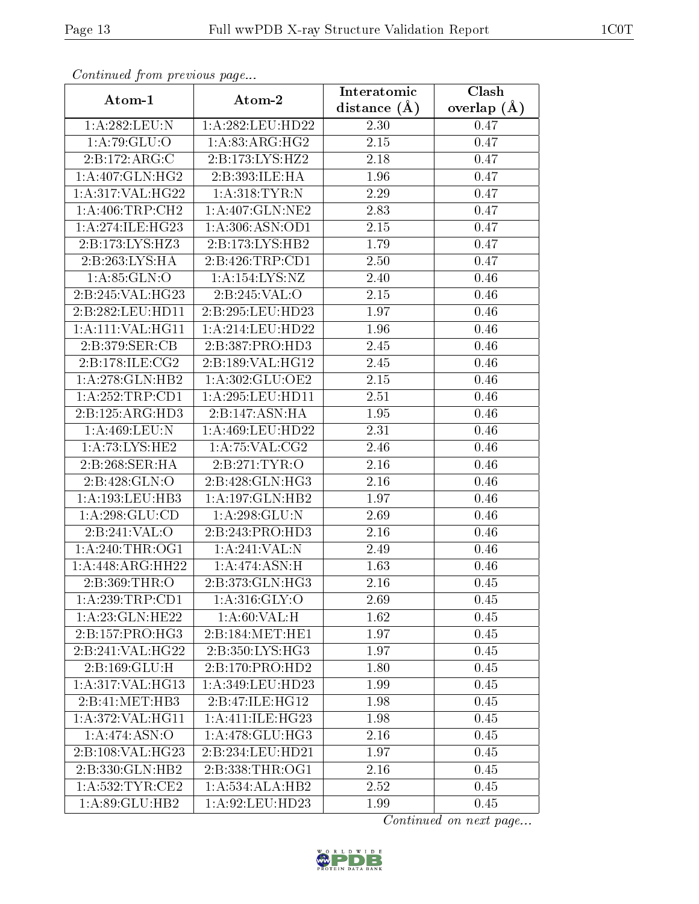| Continued from previous page |                              | Interatomic       | Clash         |  |
|------------------------------|------------------------------|-------------------|---------------|--|
| Atom-1                       | Atom-2                       | distance $(A)$    | overlap $(A)$ |  |
| 1:A:282:LEU:N                | 1:A:282:LEU:HD22             | 2.30              | 0.47          |  |
| 1:A:79:GLU:O                 | 1:A:83:ARG:HG2               | $\overline{2.15}$ | 0.47          |  |
| 2:B:172:ARG:C                | 2:B:173:LYS:HZ2              | 2.18              | 0.47          |  |
| 1:A:407:GLN:HG2              | 2:B:393:ILE:HA               | 1.96              | 0.47          |  |
| 1:A:317:VAL:HG22             | 1: A:318: TYR: N             | 2.29              | 0.47          |  |
| 1: A:406:TRP:CH2             | 1: A:407: GLN:NE2            | 2.83              | 0.47          |  |
| 1:A:274:ILE:HG23             | 1:A:306:ASN:OD1              | 2.15              | 0.47          |  |
| 2:B:173:LYS:HZ3              | 2:B:173:LYS:HB2              | 1.79              | 0.47          |  |
| 2:B:263:LYS:HA               | 2:B:426:TRP:CD1              | 2.50              | 0.47          |  |
| 1: A:85: GLN:O               | 1:A:154:LYS:NZ               | 2.40              | 0.46          |  |
| 2:B:245:VAL:HG23             | 2:B:245:VAL:O                | 2.15              | 0.46          |  |
| 2:B:282:LEU:HD11             | 2:B:295:LEU:HD23             | 1.97              | 0.46          |  |
| 1:A:111:VAL:HG11             | 1:A:214:LEU:HD22             | 1.96              | 0.46          |  |
| 2:B:379:SER:CB               | 2:B:387:PRO:HD3              | 2.45              | 0.46          |  |
| 2:B:178:ILE:CG2              | 2:B:189:VAL:HG12             | 2.45              | 0.46          |  |
| 1:A:278:GLN:HB2              | 1:A:302:GLU:OE2              | 2.15              | 0.46          |  |
| 1: A: 252: TRP: CD1          | 1:A:295:LEU:HD11             | $\overline{2.51}$ | 0.46          |  |
| 2:B:125:ARG:HD3              | 2:B:147:ASN:HA               | 1.95              | 0.46          |  |
| 1:A:469:LEU:N                | 1:A:469:LEU:HD22             | 2.31              | 0.46          |  |
| $1:$ A:73:LYS:HE2            | 1:A:75:VAL:CG2               | 2.46              | 0.46          |  |
| 2:B:268:SER:HA               | 2:B:271:TYR:O                | 2.16              | 0.46          |  |
| 2:B:428:GLN:O                | 2:B:428:GLN:HG3              | 2.16              | 0.46          |  |
| 1:A:193:LEU:HB3              | 1:A:197:GLN:HB2              | 1.97              | 0.46          |  |
| 1: A:298: GLU:CD             | 1:A:298:GLU:N                | 2.69              | 0.46          |  |
| 2:B:241:VAL:O                | 2:B:243:PRO:HD3              | 2.16              | 0.46          |  |
| 1: A:240:THR:OG1             | 1:A:241:VAL:N                | 2.49              | 0.46          |  |
| 1:A:448:ARG:HH22             | 1:A:474:ASN:H                | 1.63              | 0.46          |  |
| 2: B:369:THR:O               | $2:B:373:GLN:\overline{HG3}$ | 2.16              | 0.45          |  |
| 1: A:239:TRP:CD1             | 1: A:316: GLY:O              | 2.69              | 0.45          |  |
| 1:A:23:GLN:HE22              | 1: A:60: VAL:H               | 1.62              | 0.45          |  |
| 2:B:157:PRO:HG3              | 2:B:184:MET:HE1              | 1.97              | 0.45          |  |
| 2:B:241:VAL:HG22             | 2:B:350:LYS:HG3              | 1.97              | 0.45          |  |
| 2:B:169:GLU:H                | 2:B:170:PRO:HD2              | 1.80              | 0.45          |  |
| 1:A:317:VAL:HG13             | 1:A:349:LEU:HD23             | 1.99              | 0.45          |  |
| 2:B:41:MET:HB3               | 2:B:47:ILE:HG12              | 1.98              | 0.45          |  |
| 1:A:372:VAL:HG11             | 1:A:411:IE:HG23              | 1.98              | 0.45          |  |
| 1:A:474:ASN:O                | 1:A:478:GLU:HG3              | 2.16              | 0.45          |  |
| 2:B:108:VAL:HG23             | 2:B:234:LEU:HD21             | 1.97              | 0.45          |  |
| 2:B:330:GLN:HB2              | 2:B:338:THR:OG1              | 2.16              | 0.45          |  |
| 1:A:532:TYR:CE2              | 1:A:534:ALA:HB2              | 2.52              | 0.45          |  |
| 1:A:89:GLU:HB2               | 1:A:92:LEU:HD23              | 1.99              | 0.45          |  |

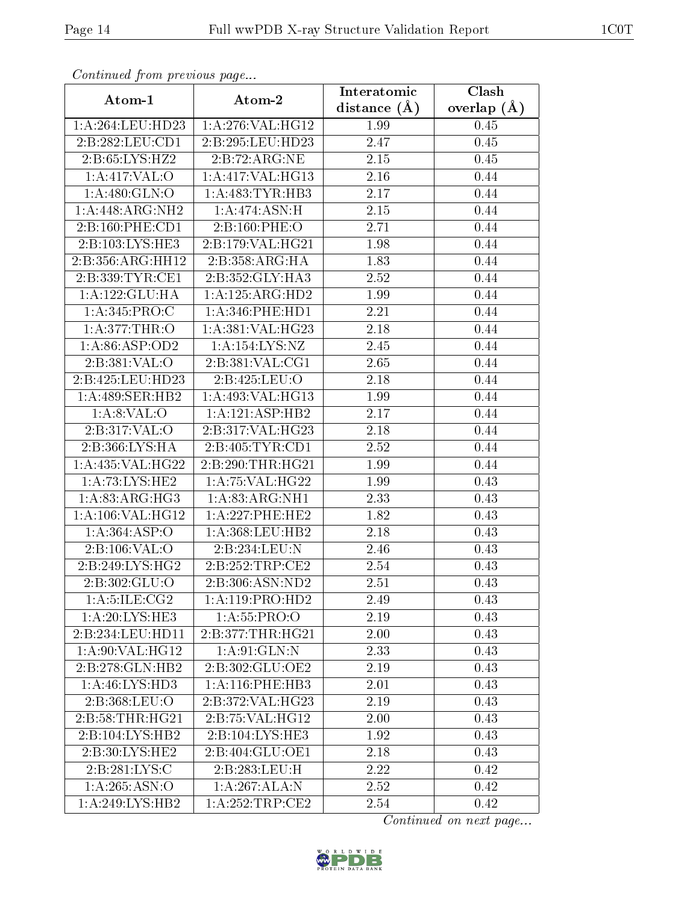| Communaca from previous page                 |                     | Interatomic | Clash           |  |
|----------------------------------------------|---------------------|-------------|-----------------|--|
| Atom-1                                       | Atom-2              |             | overlap $(\AA)$ |  |
| 1:A:264:LEU:HD23                             | 1:A:276:VAL:HG12    | 1.99        | 0.45            |  |
| 2:B:282:LEU:CD1                              | 2:B:295:LEU:HD23    | 2.47        | 0.45            |  |
| 2:B:65:LYS:HZ2                               | 2:B:72:ARG:NE       | 2.15        | 0.45            |  |
| 1: A:417: VAL:O                              | 1: A:417: VAL:HG13  | 2.16        | 0.44            |  |
| 1: A:480: GLN:O                              | 1: A:483: TYR:HB3   | 2.17        | 0.44            |  |
| 1:A:448:ARG:NH2                              | 1: A:474: ASN:H     | 2.15        | 0.44            |  |
| 2:B:160:PHE:CD1                              | 2:B:160:PHE:O       | 2.71        | 0.44            |  |
| 2:B:103:LYS:HE3                              | 2:B:179:VAL:HG21    | 1.98        | 0.44            |  |
| 2:B:356:ARG:HH12                             | 2:B:358:ARG:HA      | 1.83        | 0.44            |  |
| 2:B:339:TYR:CE1                              | 2:B:352:GLY:HA3     | 2.52        | 0.44            |  |
| 1:A:122:GLU:HA                               | 1:A:125:ARG:HD2     | 1.99        | 0.44            |  |
| 1: A:345: PRO:C                              | 1: A:346:PHE:HD1    | 2.21        | 0.44            |  |
| 1: A:377:THR:O                               | 1:A:381:VAL:HG23    | 2.18        | 0.44            |  |
| 1: A:86: ASP:OD2                             | 1: A: 154: LYS: NZ  | 2.45        | 0.44            |  |
| 2:B:381:VAL:O                                | 2:B:381:VAL:CG1     | 2.65        | 0.44            |  |
| 2:B:425:LEU:HD23                             | 2:B:425:LEU:O       | 2.18        | 0.44            |  |
| 1: A:489: SER: HB2                           | 1: A:493: VAL:HG13  | 1.99        | 0.44            |  |
| 1: A:8: VAL:O                                | 1:A:121:ASP:HB2     | 2.17        | 0.44            |  |
| 2:B:317:VAL:O                                | 2:B:317:VAL:HG23    | 2.18        | 0.44            |  |
| 2:B:366:LYS:HA                               | 2: B:405: TYR:CD1   | 2.52        | 0.44            |  |
| 1:A:435:VAL:HG22                             | 2:B:290:THR:HG21    | 1.99        | 0.44            |  |
| 1: A: 73: LYS: HE2                           | 1: A:75: VAL:HG22   | 1.99        | 0.43            |  |
| 1: A:83:ARG:HG3                              | 1:A:83:ARG:NH1      | 2.33        | 0.43            |  |
| 1:A:106:VAL:HG12                             | 1: A:227:PHE:HE2    | 1.82        | 0.43            |  |
| 1:A:364:ASP:O                                | 1: A:368:LEU:HB2    | 2.18        | 0.43            |  |
| 2:B:106:VAL:O                                | 2:B:234:LEU:N       | 2.46        | 0.43            |  |
| 2:B:249:LYS:HG2                              | 2:B:252:TRP:CE2     | 2.54        | 0.43            |  |
| $2:B:302:G\overline{\mathrm{LU}:\mathrm{O}}$ | 2:B:306:ASN:ND2     | 2.51        | 0.43            |  |
| 1: A:5: ILE: CG2                             | 1:A:119:PRO:HD2     | 2.49        | 0.43            |  |
| 1:A:20:LYS:HE3                               | 1: A: 55: PRO:O     | 2.19        | 0.43            |  |
| 2:B:234:LEU:HD11                             | 2:B:377:THR:HG21    | 2.00        | 0.43            |  |
| 1: A:90: VAL:HG12                            | $1:$ A: $91:$ GLN:N | 2.33        | 0.43            |  |
| 2:B:278:GLN:HB2                              | 2:B:302:GLU:OE2     | 2.19        | 0.43            |  |
| 1:A:46:LYS:HD3                               | 1: A:116: PHE:HB3   | 2.01        | 0.43            |  |
| 2:B:368:LEU:O                                | 2:B:372:VAL:HG23    | 2.19        | 0.43            |  |
| 2:B:58:THR:HG21                              | 2:B:75:VAL:HG12     | 2.00        | 0.43            |  |
| 2:B:104:LYS:HB2                              | 2:B:104:LYS:HE3     | 1.92        | 0.43            |  |
| 2:B:30:LYS:HE2                               | 2:B:404:GLU:OE1     | 2.18        | 0.43            |  |
| 2:B:281:LYS:C                                | 2:B:283:LEU:H       | 2.22        | 0.42            |  |
| 1:A:265:ASN:O                                | 1:A:267:ALA:N       | 2.52        | 0.42            |  |
| $1:A:249:LY\overline{S:HB2}$                 | 1: A:252:TRP:CE2    | 2.54        | 0.42            |  |

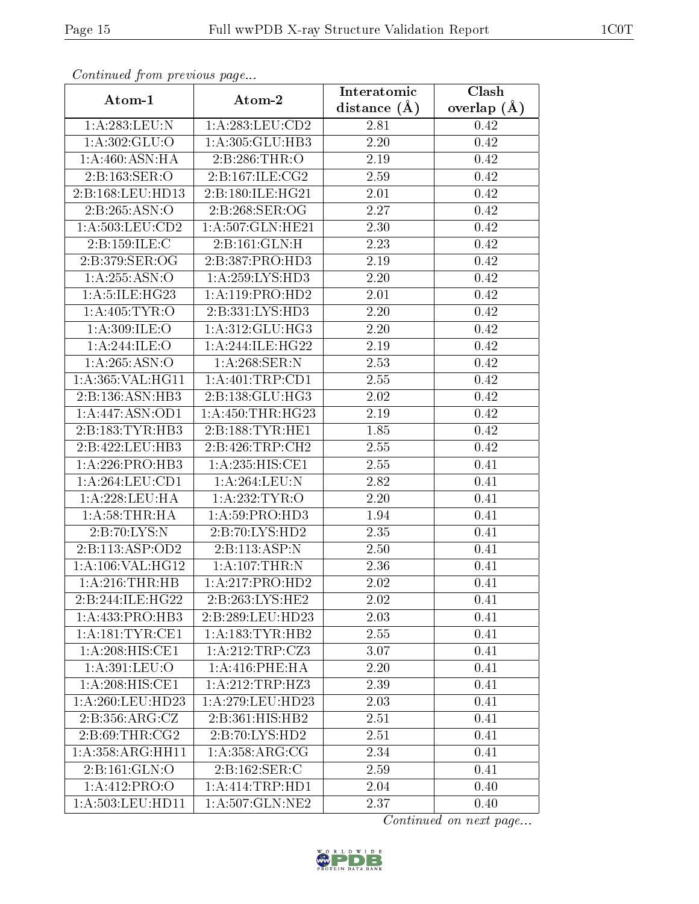| Communa from previous page            |                            | Interatomic | Clash           |  |
|---------------------------------------|----------------------------|-------------|-----------------|--|
| Atom-1                                | Atom-2                     |             | overlap $(\AA)$ |  |
| 1:A:283:LEU:N                         | 1: A: 283: LEU: CD2        | 2.81        | 0.42            |  |
| 1:A:302:GLU:O                         | 1:A:305:GLU:HB3            | 2.20        | 0.42            |  |
| 1: A:460:ASN:HA                       | 2:B:286:THR:O              | $2.19\,$    | 0.42            |  |
| 2:B:163:SER:O                         | 2:B:167:ILE:CG2            | 2.59        | 0.42            |  |
| 2:B:168:LEU:HD13                      | 2:B:180:ILE:HG21           | 2.01        | 0.42            |  |
| 2: B: 265: ASN: O                     | 2:B:268:SER:OG             | 2.27        | 0.42            |  |
| 1:A:503:LEU:CD2                       | 1:A:507:GLN:HE21           | 2.30        | 0.42            |  |
| 2: B: 159: ILE:C                      | 2:B:161:GLN:H              | 2.23        | 0.42            |  |
| 2:B:379:SER:OG                        | 2:B:387:PRO:HD3            | 2.19        | 0.42            |  |
| 1: A:255: ASN:O                       | 1: A:259: LYS: HD3         | 2.20        | 0.42            |  |
| 1:A:5:ILE:HG23                        | 1: A: 119: PRO: HD2        | 2.01        | 0.42            |  |
| 1: A: 405: TYR: O                     | 2:B:331:LYS:HD3            | 2.20        | 0.42            |  |
| 1: A:309: ILE: O                      | 1: A:312: GLU: HG3         | 2.20        | 0.42            |  |
| 1:A:244:ILE:O                         | 1:A:244:ILE:HG22           | 2.19        | 0.42            |  |
| 1:A:265:ASN:O                         | 1:A:268:SER:N              | 2.53        | 0.42            |  |
| 1: A: 365: VAL: HG11                  | 1:A:401:TRP:CD1            | 2.55        | 0.42            |  |
| 2:B:136:ASN:HB3                       | 2:B:138:GLU:HG3            | 2.02        | 0.42            |  |
| 1:A:447:ASN:OD1                       | 1: A: 450: THR: HG23       | 2.19        | 0.42            |  |
| 2:B:183:TYR:HB3                       | 2:B:188:TYR:HE1            | 1.85        | 0.42            |  |
| 2:B:422:LEU:HB3                       | 2:B:426:TRP:CH2            | 2.55        | 0.42            |  |
| 1: A:226: PRO:HB3                     | 1:A:235:HIS:CE1            | 2.55        | 0.41            |  |
| 1:A:264:LEU:CD1                       | 1: A:264:LEU: N            | 2.82        | 0.41            |  |
| 1: A:228:LEU:HA                       | 1:A:232:TYR:O              | 2.20        | 0.41            |  |
| 1:A:58:THR:HA                         | 1: A:59: PRO:HD3           | 1.94        | 0.41            |  |
| 2: B: 70: LYS: N                      | 2:B:70:LYS:HD2             | 2.35        | 0.41            |  |
| 2:B:113:ASP:OD2                       | $2:B:\overline{113:ASP:N}$ | 2.50        | 0.41            |  |
| 1:A:106:VAL:HG12                      | $1:A:107$ : THR: N         | 2.36        | 0.41            |  |
| 1: A:216:THR:HB                       | 1:A:217:PRO:HD2            | 2.02        | 0.41            |  |
| 2:B:244:ILE:HG22                      | 2:B:263:LYS:HE2            | 2.02        | 0.41            |  |
| 1: A: 433: PRO: HB3                   | 2:B:289:LEU:HD23           | 2.03        | 0.41            |  |
| $1: A:181: \overline{\text{TYR:CE1}}$ | 1: A: 183: TYR: HB2        | 2.55        | 0.41            |  |
| 1:A:208:HIS:CE1                       | 1:A:212:TRP:CZ3            | 3.07        | 0.41            |  |
| 1: A:391:LEU:O                        | 1: A:416:PHE:HA            | 2.20        | 0.41            |  |
| 1: A:208: HIS: CE1                    | 1:A:212:TRP:HZ3            | 2.39        | 0.41            |  |
| 1:A:260:LEU:HD23                      | 1: A:279:LEU:HD23          | 2.03        | 0.41            |  |
| 2:B:356:ARG:CZ                        | 2:B:361:HIS:HB2            | 2.51        | 0.41            |  |
| 2:B:69:THR:CG2                        | 2:B:70:LYS:HD2             | 2.51        | 0.41            |  |
| 1:A:358:ARG:HH11                      | 1: A: 358: ARG: CG         | 2.34        | 0.41            |  |
| 2:B:161:GLN:O                         | 2: B: 162: SER:C           | 2.59        | 0.41            |  |
| 1:A:412:PRO:O                         | 1: A: 414: TRP: HD1        | 2.04        | 0.40            |  |
| 1: A:503:LEU:HD11                     | 1: A:507: GLN: NE2         | 2.37        | 0.40            |  |

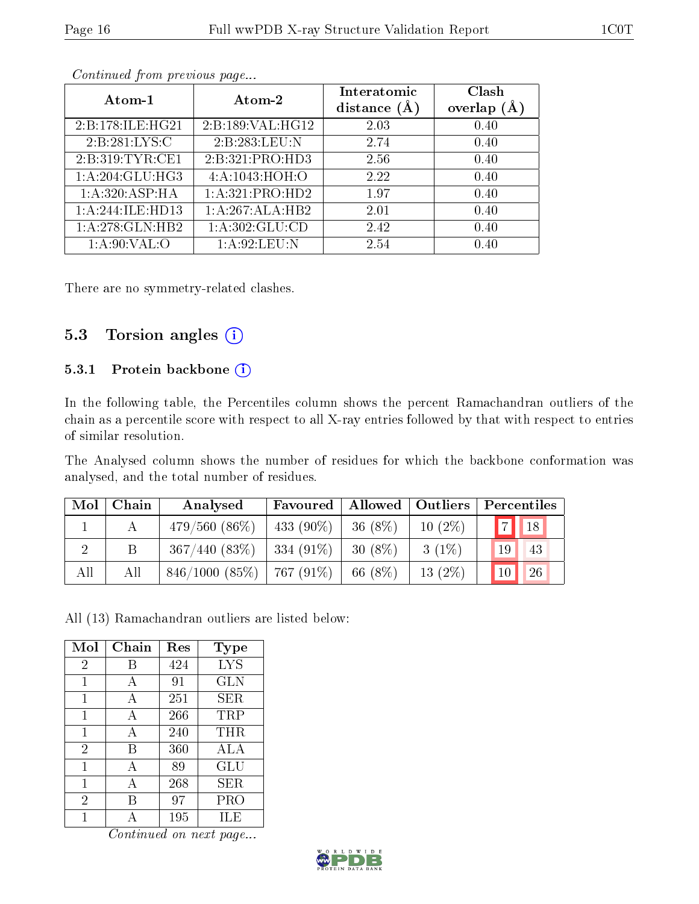| Atom-1           | Atom-2           | Interatomic<br>distance $(\AA)$ | Clash<br>(A)<br>overlap |
|------------------|------------------|---------------------------------|-------------------------|
| 2:B:178:ILE:HG21 | 2:B:189:VAL:HG12 | 2.03                            | 0.40                    |
| 2: B:281:LYS:C   | 2:B:283:LEU:N    | 2.74                            | 0.40                    |
| 2:B:319:TYR:CE1  | 2:B:321:PRO:HD3  | 2.56                            | 0.40                    |
| 1:A:204:GLU:HG3  | 4:A:1043:HOH:O   | 2.22                            | 0.40                    |
| 1: A:320: ASP:HA | 1:A:321:PRO:HD2  | 1.97                            | 0.40                    |
| 1:A:244:ILE:HD13 | 1:A:267:ALA:HB2  | 2.01                            | 0.40                    |
| 1:A:278:GLN:HB2  | 1: A:302: GLU:CD | 2.42                            | 0.40                    |
| 1: A:90: VAL:O   | 1: A:92: LEU: N  | 2.54                            | 0.40                    |

There are no symmetry-related clashes.

### 5.3 Torsion angles  $(i)$

#### 5.3.1 Protein backbone (i)

In the following table, the Percentiles column shows the percent Ramachandran outliers of the chain as a percentile score with respect to all X-ray entries followed by that with respect to entries of similar resolution.

The Analysed column shows the number of residues for which the backbone conformation was analysed, and the total number of residues.

| $\bf{Mol}$ | Chain | Analysed        | Favoured   Allowed   Outliers |            |           | Percentiles          |
|------------|-------|-----------------|-------------------------------|------------|-----------|----------------------|
|            | А     | $479/560(86\%)$ | 433 $(90\%)$                  | 36 (8\%)   | $10(2\%)$ | 7 <br>$\parallel$ 18 |
|            | Β     | 367/440(83%)    | $334(91\%)$                   | $30(8\%)$  | $3(1\%)$  | 19<br>43             |
| All        | All   | 846/1000(85%)   | 767 (91\%)                    | 66 $(8\%)$ | $13(2\%)$ | 26<br>10             |

All (13) Ramachandran outliers are listed below:

| Mol            | Chain | Res | <b>Type</b> |
|----------------|-------|-----|-------------|
| $\overline{2}$ | В     | 424 | <b>LYS</b>  |
| 1              | A     | 91  | <b>GLN</b>  |
| 1              | A     | 251 | SER         |
| 1              | A     | 266 | TRP         |
| 1              | А     | 240 | THR         |
| $\overline{2}$ | В     | 360 | ALA         |
| 1              | A     | 89  | GLU         |
| 1              | А     | 268 | SER         |
| $\overline{2}$ | В     | 97  | PRO         |
|                |       | 195 | ILE         |

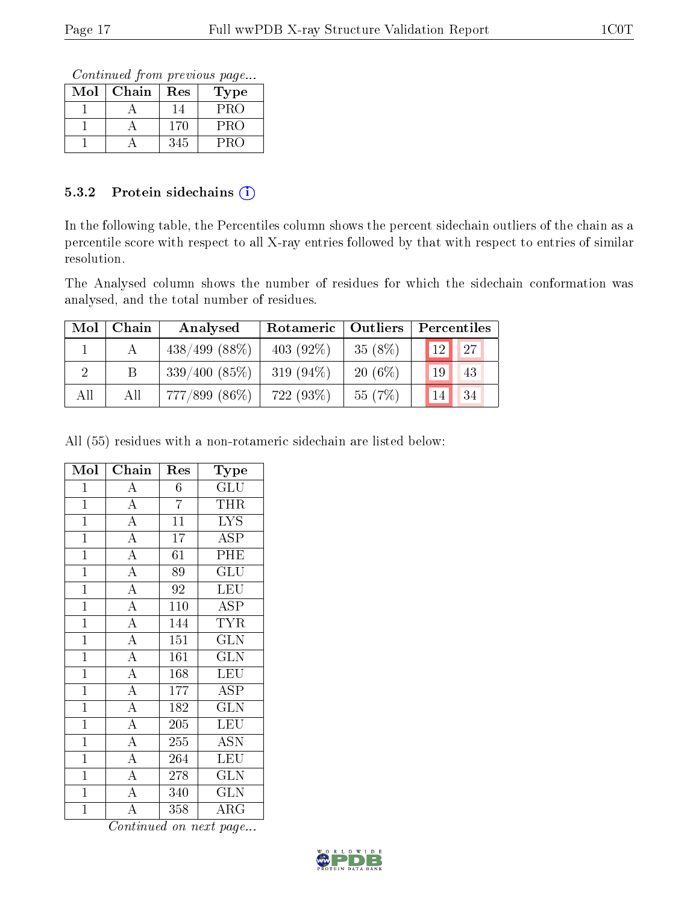Continued from previous page...

| $\operatorname{Mol}$ | Chain | $\operatorname{Res}% \left( \mathcal{N}\right) \equiv\operatorname{Res}(\mathcal{N}_{0})\cap\mathcal{N}_{1}$ | Type |
|----------------------|-------|--------------------------------------------------------------------------------------------------------------|------|
|                      |       |                                                                                                              | PRO  |
|                      |       | 170                                                                                                          | PRO  |
|                      |       | 345                                                                                                          | PRO  |

#### 5.3.2 Protein sidechains (i)

In the following table, the Percentiles column shows the percent sidechain outliers of the chain as a percentile score with respect to all X-ray entries followed by that with respect to entries of similar resolution.

The Analysed column shows the number of residues for which the sidechain conformation was analysed, and the total number of residues.

| Mol | Chain | Analysed         | Rotameric    | $\mid$ Outliers $\mid$ | Percentiles     |    |
|-----|-------|------------------|--------------|------------------------|-----------------|----|
|     |       | $438/499$ (88\%) | 403 $(92\%)$ | 35(8%)                 | 12 <sub>1</sub> | 27 |
|     |       | 339/400(85%)     | 319 $(94\%)$ | $20(6\%)$              | 19              | 43 |
| All | Аll   | $777/899$ (86\%) | 722 (93\%)   | 55 (7\%)               | 14              | 34 |

All (55) residues with a non-rotameric sidechain are listed below:

| Mol            | Chain                   | Res              | Type                    |
|----------------|-------------------------|------------------|-------------------------|
| $\mathbf{1}$   | $\overline{\rm A}$      | 6                | $\overline{{\rm GLU}}$  |
| $\mathbf 1$    | $\overline{A}$          | $\overline{7}$   | THR                     |
| $\overline{1}$ | $\overline{\rm A}$      | 11               | <b>LYS</b>              |
| $\overline{1}$ | $\overline{A}$          | $\overline{1}7$  | $\overline{\text{ASP}}$ |
| $\mathbf{1}$   | $\overline{\rm A}$      | 61               | PHE                     |
| $\mathbf 1$    | $\overline{A}$          | 89               | $\overline{{\rm GLU}}$  |
| $\mathbf{1}$   | $\overline{\rm A}$      | 92               | <b>LEU</b>              |
| $\overline{1}$ | $\overline{A}$          | 110              | $\overline{\text{ASP}}$ |
| $\mathbf{1}$   | $\overline{\rm A}$      | 144              | <b>TYR</b>              |
| $\mathbf{1}$   | $\overline{A}$          | 151              | GLN                     |
| $\overline{1}$ | $\overline{A}$          | 161              | <b>GLN</b>              |
| $\overline{1}$ | $\overline{A}$          | 168              | <b>LEU</b>              |
| $\mathbf{1}$   | $\overline{A}$          | $\overline{177}$ | $\overline{\rm ASP}$    |
| $\mathbf{1}$   | $\overline{A}$          | 182              | <b>GLN</b>              |
| $\mathbf{1}$   | $\overline{\rm A}$      | 205              | LEU                     |
| $\overline{1}$ | $\overline{\mathbf{A}}$ | 255              | <b>ASN</b>              |
| $\mathbf{1}$   | $\overline{A}$          | 264              | $\overline{\text{LEU}}$ |
| $\overline{1}$ | $\overline{\rm A}$      | 278              | $\overline{\text{GLN}}$ |
| $\mathbf{1}$   | $\overline{\rm A}$      | 340              | <b>GLN</b>              |
| $\overline{1}$ | $\overline{\rm A}$      | 358              | $\rm\overline{A}RG$     |

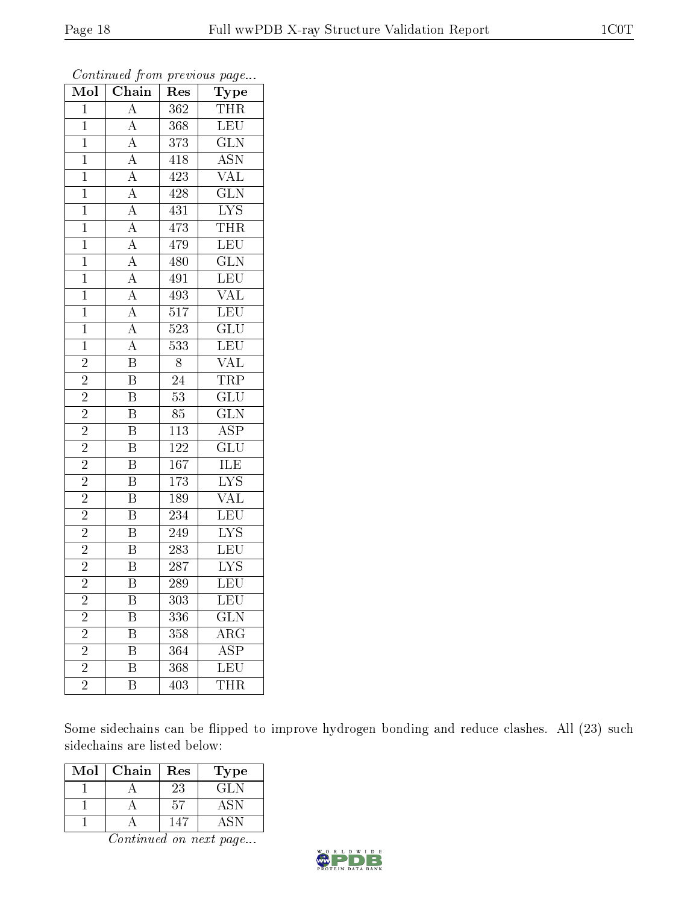| Mol            | Chain                                                                      | Res              | Type                    |
|----------------|----------------------------------------------------------------------------|------------------|-------------------------|
| $\overline{1}$ | $\overline{A}$                                                             | 362              | THR                     |
| $\overline{1}$ | $\overline{A}$                                                             | 368              | LEU                     |
| $\overline{1}$ |                                                                            | 373              | $\overline{\text{GLN}}$ |
| $\mathbf{1}$   | $\frac{\overline{A}}{\overline{A}}$ $\frac{\overline{A}}{\overline{A}}$    | 418              | $\overline{\text{ASN}}$ |
| $\overline{1}$ |                                                                            | 423              | $\overline{\text{VAL}}$ |
| $\mathbf{1}$   |                                                                            | 428              | GLN                     |
| $\overline{1}$ |                                                                            | 431              | $\overline{\text{LYS}}$ |
| $\mathbf{1}$   | $\overline{A}$                                                             | 473              | <b>THR</b>              |
| $\mathbf{1}$   | $\overline{A}$                                                             | 479              | LEU                     |
| $\mathbf{1}$   | $\frac{\overline{A}}{\overline{A}}$                                        | 480              | $\overline{\text{GLN}}$ |
| $\overline{1}$ |                                                                            | 491              | $\overline{\text{LEU}}$ |
| $\mathbf{1}$   | $\frac{\overline{A}}{\overline{A}}$<br>$\frac{\overline{A}}{\overline{A}}$ | 493              | $\overline{\text{VAL}}$ |
| $\mathbf{1}$   |                                                                            | $\overline{517}$ | LEU                     |
| $\mathbf{1}$   |                                                                            | 523              | $\overline{\text{GLU}}$ |
| $\mathbf{1}$   |                                                                            | 533              | LEU                     |
| $\overline{2}$ | $\overline{\mathbf{B}}$                                                    | $8\,$            | <b>VAL</b>              |
| $\overline{2}$ | $\overline{\mathbf{B}}$                                                    | $\overline{24}$  | <b>TRP</b>              |
| $\overline{c}$ | $\overline{B}$                                                             | $\overline{53}$  | $\overline{\text{GLU}}$ |
| $\overline{c}$ | $\overline{\mathbf{B}}$                                                    | 85               | $\overline{\text{GLN}}$ |
| $\overline{2}$ | $\overline{\mathbf{B}}$                                                    | $\overline{113}$ | $\overline{\text{ASP}}$ |
| $\overline{2}$ | $\overline{\mathrm{B}}$                                                    | 122              | $\overline{\text{GLU}}$ |
| $\overline{2}$ | $\overline{\mathrm{B}}$                                                    | 167              | <b>ILE</b>              |
| $\overline{2}$ | $\overline{\mathrm{B}}$                                                    | 173              | LYS<br>VAL              |
| $\overline{2}$ | $\overline{\mathrm{B}}$                                                    | 189              |                         |
| $\overline{2}$ | $\overline{\mathrm{B}}$                                                    | 234              | <b>LEU</b>              |
| $\overline{2}$ | $\overline{\mathrm{B}}$                                                    | 249              | $\overline{\text{LYS}}$ |
| $\overline{2}$ | $\overline{\mathrm{B}}$                                                    | 283              | LEU                     |
| $\overline{2}$ | $\overline{\mathrm{B}}$                                                    | 287              | $\overline{\text{LYS}}$ |
| $\overline{2}$ | $\overline{\mathrm{B}}$                                                    | 289              | $\overline{\text{LEU}}$ |
| $\overline{c}$ | Β                                                                          | 303              | LEU                     |
| $\overline{2}$ | Β                                                                          | 336              | $\widetilde{{\rm GLN}}$ |
| $\overline{2}$ | Β                                                                          | 358              | $\overline{\text{ARG}}$ |
| $\overline{c}$ | $\overline{\mathrm{B}}$                                                    | 364              | <b>ASP</b>              |
| $\overline{2}$ | $\overline{\mathrm{B}}$                                                    | 368              | LEU                     |
| $\overline{2}$ | B                                                                          | 403              | <b>THR</b>              |

Some sidechains can be flipped to improve hydrogen bonding and reduce clashes. All (23) such sidechains are listed below:

| $\operatorname{Mol}$ | Chain | Res | Type |
|----------------------|-------|-----|------|
|                      |       | 23  | GLN  |
|                      |       | 57  | ASN. |
|                      |       |     |      |

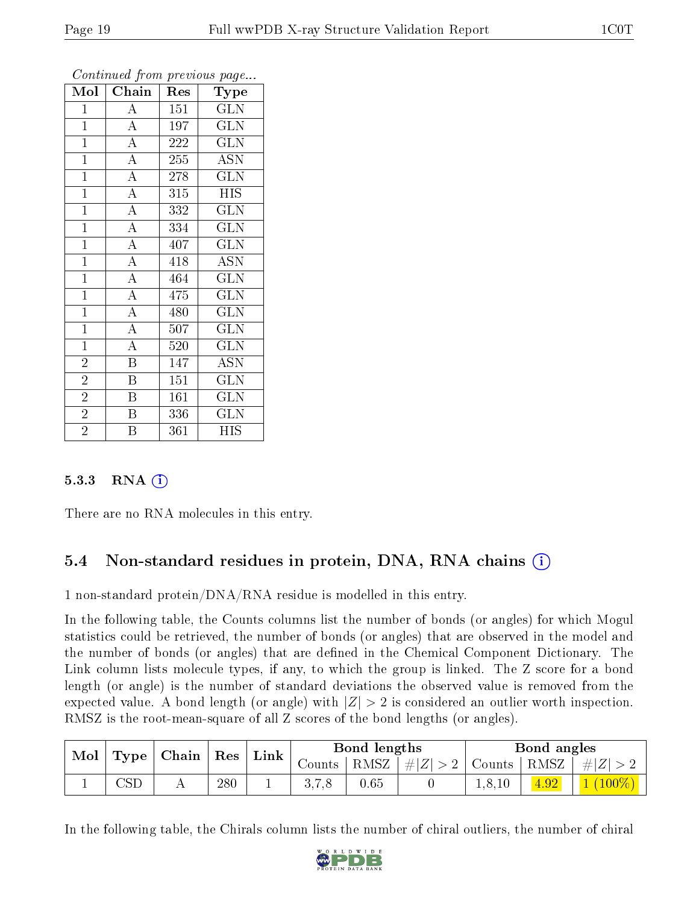|                         |                         |     | $\mathbf{r}$<br>$\overline{ }$ |  |  |
|-------------------------|-------------------------|-----|--------------------------------|--|--|
| $\overline{\text{Mol}}$ | Chain                   | Res | <b>Type</b>                    |  |  |
| $\mathbf{1}$            | $\overline{A}$          | 151 | <b>GLN</b>                     |  |  |
| $\mathbf{1}$            | $\overline{A}$          | 197 | $\overline{\rm GLN}$           |  |  |
| $\overline{1}$          | $\overline{A}$          | 222 | $\overline{\text{GLN}}$        |  |  |
| $\mathbf{1}$            | $\overline{A}$          | 255 | <b>ASN</b>                     |  |  |
| $\overline{1}$          | $\overline{A}$          | 278 | $\overline{\text{GLN}}$        |  |  |
| $\mathbf{1}$            | $\overline{A}$          | 315 | <b>HIS</b>                     |  |  |
| $\overline{1}$          | $\overline{A}$          | 332 | <b>GLN</b>                     |  |  |
| $\mathbf{1}$            | $\overline{A}$          | 334 | GLN                            |  |  |
| $\overline{1}$          | $\overline{\rm A}$      | 407 | <b>GLN</b>                     |  |  |
| $\overline{1}$          | $\overline{A}$          | 418 | $\overline{ASN}$               |  |  |
| $\overline{1}$          | $\overline{A}$          | 464 | $\overline{\text{GLN}}$        |  |  |
| $\overline{1}$          | $\overline{A}$          | 475 | <b>GLN</b>                     |  |  |
| $\mathbf{1}$            | $\overline{A}$          | 480 | <b>GLN</b>                     |  |  |
| $\overline{1}$          | $\overline{A}$          | 507 | <b>GLN</b>                     |  |  |
| $\overline{1}$          | $\overline{A}$          | 520 | $\overline{\text{GLN}}$        |  |  |
| $\overline{2}$          | $\overline{\mathrm{B}}$ | 147 | <b>ASN</b>                     |  |  |
| $\overline{2}$          | B                       | 151 | <b>GLN</b>                     |  |  |
| $\overline{2}$          | $\overline{\mathrm{B}}$ | 161 | <b>GLN</b>                     |  |  |
| $\overline{2}$          | $\, {\bf B}$            | 336 | <b>GLN</b>                     |  |  |
| $\overline{2}$          | $\overline{\mathrm{B}}$ | 361 | <b>HIS</b>                     |  |  |

#### 5.3.3 RNA  $(i)$

There are no RNA molecules in this entry.

### 5.4 Non-standard residues in protein, DNA, RNA chains (i)

1 non-standard protein/DNA/RNA residue is modelled in this entry.

In the following table, the Counts columns list the number of bonds (or angles) for which Mogul statistics could be retrieved, the number of bonds (or angles) that are observed in the model and the number of bonds (or angles) that are defined in the Chemical Component Dictionary. The Link column lists molecule types, if any, to which the group is linked. The Z score for a bond length (or angle) is the number of standard deviations the observed value is removed from the expected value. A bond length (or angle) with  $|Z| > 2$  is considered an outlier worth inspection. RMSZ is the root-mean-square of all Z scores of the bond lengths (or angles).

| Mol , | $\mid$ Chain $\mid$ Res $\mid$<br><b>Type</b> |  | ${\rm Link}$ | Bond lengths |      |                                                 | Bond angles |  |                   |
|-------|-----------------------------------------------|--|--------------|--------------|------|-------------------------------------------------|-------------|--|-------------------|
|       |                                               |  |              |              |      | Counts   RMSZ $\mid \#  Z  > 2$   Counts   RMSZ |             |  | $\pm$ # $ Z  > 2$ |
|       | $\mathbb{C}\mathrm{SD}$                       |  | 280          | <b>.</b>     | 0.65 |                                                 | 1, 8, 10    |  | $(100\%)$         |

In the following table, the Chirals column lists the number of chiral outliers, the number of chiral

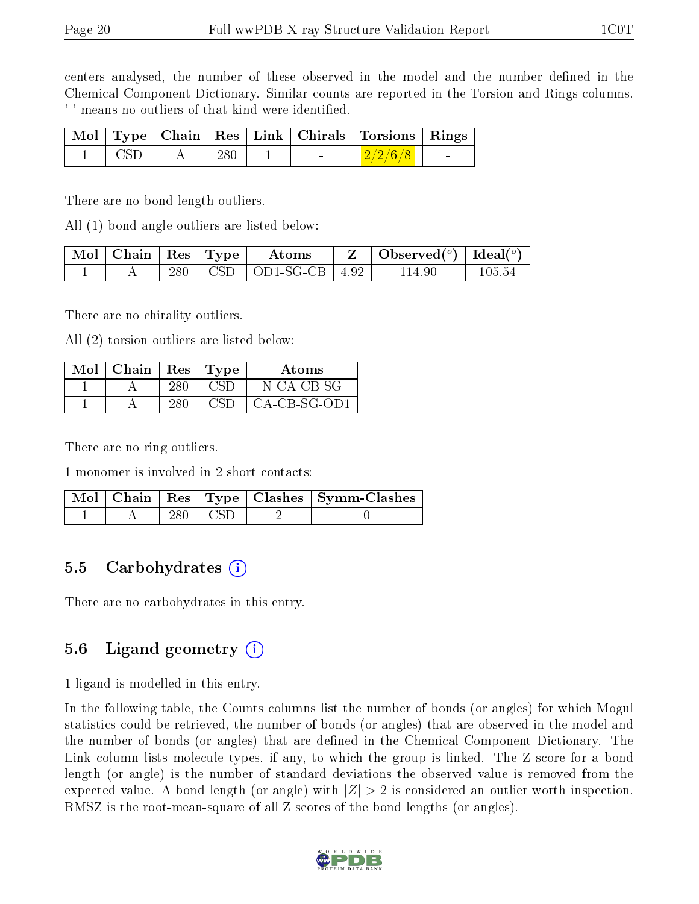centers analysed, the number of these observed in the model and the number defined in the Chemical Component Dictionary. Similar counts are reported in the Torsion and Rings columns. '-' means no outliers of that kind were identified.

|  |     |  | Mol   Type   Chain   Res   Link   Chirals   Torsions   Rings |  |
|--|-----|--|--------------------------------------------------------------|--|
|  | 280 |  | $-2/2/6/8$                                                   |  |

There are no bond length outliers.

All (1) bond angle outliers are listed below:

| $\mid$ Mol $\mid$ Chain $\mid$ Res $\mid$ Type $\mid$ |  | Atoms                          | $\mathbf{Z}$   Observed( $^o$ )   Ideal( $^o$ ) |        |
|-------------------------------------------------------|--|--------------------------------|-------------------------------------------------|--------|
|                                                       |  | $280$   CSD   OD1-SG-CB   4.92 | 114.90                                          | 105.54 |

There are no chirality outliers.

All (2) torsion outliers are listed below:

| Mol | $ $ Chain $ $ Res $ $ Type |     |     | Atoms          |
|-----|----------------------------|-----|-----|----------------|
|     |                            | 280 | CSD | N-CA-CB-SG     |
|     |                            | 280 | CSD | $CA-CB-SG-OD1$ |

There are no ring outliers.

1 monomer is involved in 2 short contacts:

|  |     |       | Mol   Chain   Res   Type   Clashes   Symm-Clashes |
|--|-----|-------|---------------------------------------------------|
|  | 280 | l CSD |                                                   |

#### 5.5 Carbohydrates (i)

There are no carbohydrates in this entry.

#### 5.6 Ligand geometry (i)

1 ligand is modelled in this entry.

In the following table, the Counts columns list the number of bonds (or angles) for which Mogul statistics could be retrieved, the number of bonds (or angles) that are observed in the model and the number of bonds (or angles) that are defined in the Chemical Component Dictionary. The Link column lists molecule types, if any, to which the group is linked. The Z score for a bond length (or angle) is the number of standard deviations the observed value is removed from the expected value. A bond length (or angle) with  $|Z| > 2$  is considered an outlier worth inspection. RMSZ is the root-mean-square of all Z scores of the bond lengths (or angles).

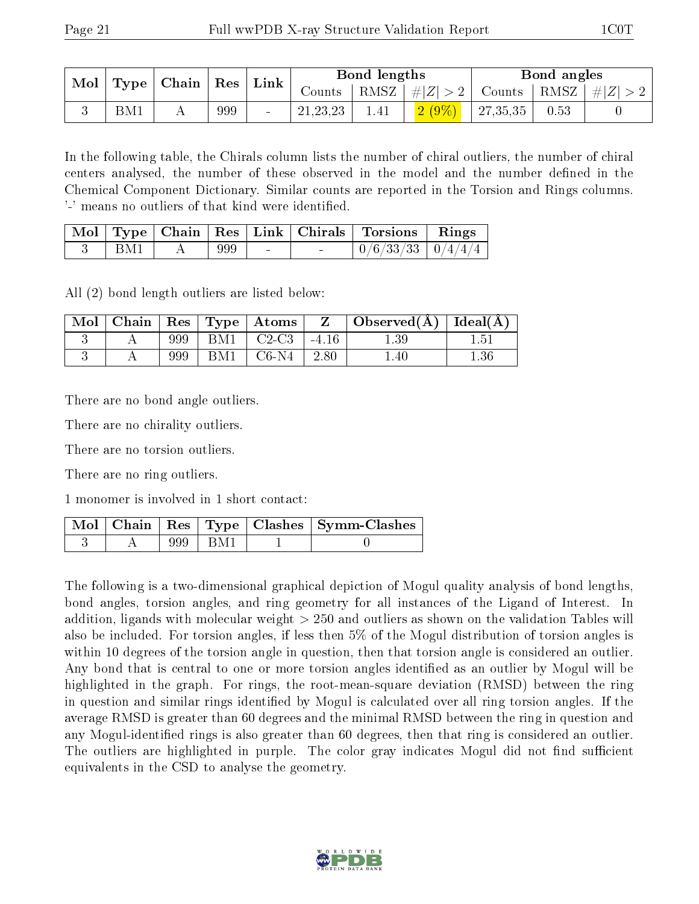| $\operatorname{Mol}$ | $\mid$ Type $\mid$ Chain $\mid$ Res $\mid$ Link $\mid$ |  | Bond lengths |                      |       | Bond angles                 |  |      |                                                                   |
|----------------------|--------------------------------------------------------|--|--------------|----------------------|-------|-----------------------------|--|------|-------------------------------------------------------------------|
|                      |                                                        |  |              |                      |       |                             |  |      | Counts   RMSZ $\mid \#  Z  > 2$   Counts   RMSZ $\mid \#  Z  > 2$ |
|                      | BM1                                                    |  | 999          | $^+$ 21, 23, 23 $^-$ | -1.41 | $\frac{2(9\%)}{2(7,35,35)}$ |  | 0.53 |                                                                   |

In the following table, the Chirals column lists the number of chiral outliers, the number of chiral centers analysed, the number of these observed in the model and the number defined in the Chemical Component Dictionary. Similar counts are reported in the Torsion and Rings columns. '-' means no outliers of that kind were identified.

|     |     |  | Mol   Type   Chain   Res   Link   Chirals   Torsions   Rings |  |
|-----|-----|--|--------------------------------------------------------------|--|
| BM1 | 999 |  | $0/6/33/33$   $0/4/4/4$                                      |  |

All (2) bond length outliers are listed below:

| Mol |     | $\vert$ Chain $\vert$ Res $\vert$ Type $\vert$ Atoms | Z          | $\perp$ Observed( $\AA$ )   Ideal( $\AA$ ) |          |
|-----|-----|------------------------------------------------------|------------|--------------------------------------------|----------|
|     | 999 | $\vert$ BM1 $\vert$ C2-C3                            | $\pm 4.16$ | $1.39\,$                                   | $1.51\,$ |
|     | 999 | $BM1 \mid C6-N4 \mid 2.80$                           |            | 1.40                                       | $1.36\,$ |

There are no bond angle outliers.

There are no chirality outliers.

There are no torsion outliers.

There are no ring outliers.

1 monomer is involved in 1 short contact:

|  |             | Mol   Chain   Res   Type   Clashes   Symm-Clashes |
|--|-------------|---------------------------------------------------|
|  | $999 + BM1$ |                                                   |

The following is a two-dimensional graphical depiction of Mogul quality analysis of bond lengths, bond angles, torsion angles, and ring geometry for all instances of the Ligand of Interest. In addition, ligands with molecular weight > 250 and outliers as shown on the validation Tables will also be included. For torsion angles, if less then 5% of the Mogul distribution of torsion angles is within 10 degrees of the torsion angle in question, then that torsion angle is considered an outlier. Any bond that is central to one or more torsion angles identified as an outlier by Mogul will be highlighted in the graph. For rings, the root-mean-square deviation (RMSD) between the ring in question and similar rings identified by Mogul is calculated over all ring torsion angles. If the average RMSD is greater than 60 degrees and the minimal RMSD between the ring in question and any Mogul-identified rings is also greater than 60 degrees, then that ring is considered an outlier. The outliers are highlighted in purple. The color gray indicates Mogul did not find sufficient equivalents in the CSD to analyse the geometry.

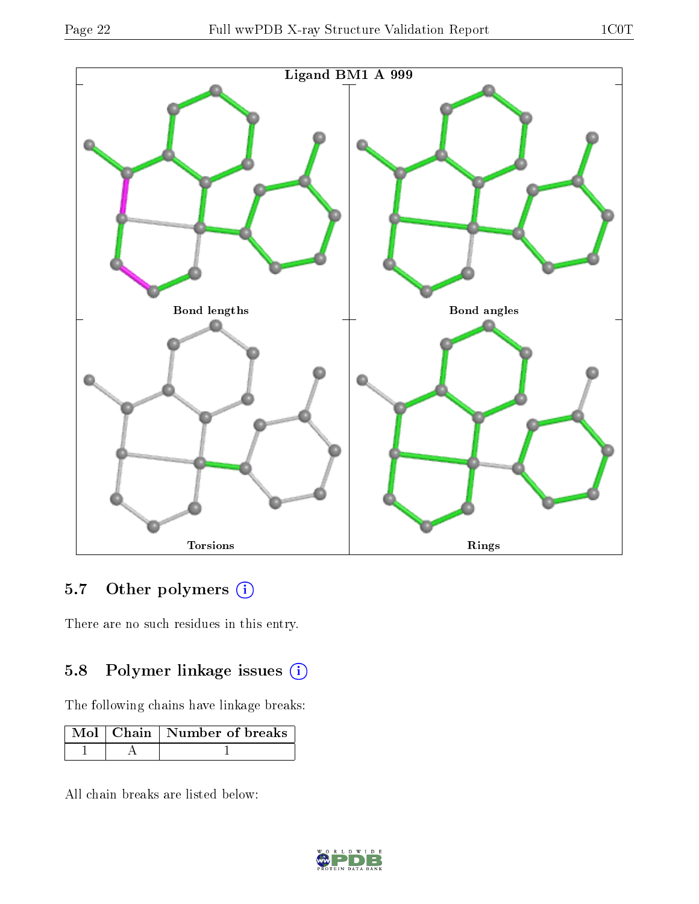



## 5.7 [O](https://www.wwpdb.org/validation/2017/XrayValidationReportHelp#nonstandard_residues_and_ligands)ther polymers (i)

There are no such residues in this entry.

## 5.8 Polymer linkage issues (i)

The following chains have linkage breaks:

|  | Mol $\vert$ Chain $\vert$ Number of breaks |
|--|--------------------------------------------|
|  |                                            |

All chain breaks are listed below:

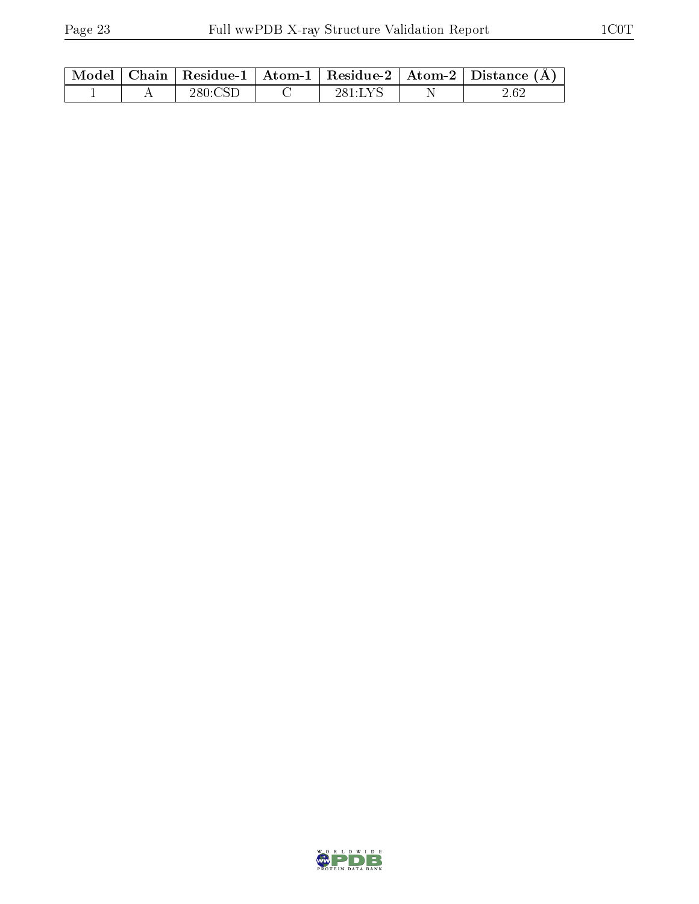|  |         |         | Model   Chain   Residue-1   Atom-1   Residue-2   Atom-2   Distance $(A)$ |
|--|---------|---------|--------------------------------------------------------------------------|
|  | 280.CSE | 281:LYS |                                                                          |

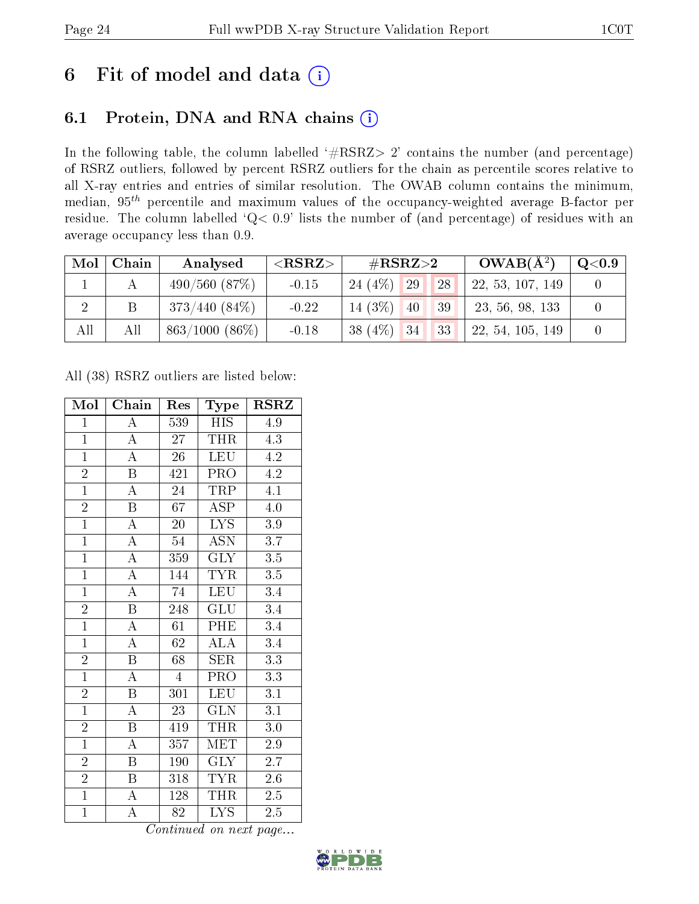# 6 Fit of model and data  $(i)$

## 6.1 Protein, DNA and RNA chains  $(i)$

In the following table, the column labelled  $#RSRZ> 2'$  contains the number (and percentage) of RSRZ outliers, followed by percent RSRZ outliers for the chain as percentile scores relative to all X-ray entries and entries of similar resolution. The OWAB column contains the minimum, median,  $95<sup>th</sup>$  percentile and maximum values of the occupancy-weighted average B-factor per residue. The column labelled ' $Q< 0.9$ ' lists the number of (and percentage) of residues with an average occupancy less than 0.9.

| Mol            | Chain | Analysed          | ${ <\hspace{-1.5pt}{\mathrm{RSRZ}} \hspace{-1.5pt}>}$ | $\#\text{RSRZ}\text{>2}$ |  | $OWAB(A^2)$ | $\rm Q\textcolor{black}{<}0.9$ |  |
|----------------|-------|-------------------|-------------------------------------------------------|--------------------------|--|-------------|--------------------------------|--|
|                |       | $490/560$ $(87%)$ | $-0.15$                                               | $24(4\%)$ 29             |  | 28          | 22, 53, 107, 149               |  |
| $\overline{2}$ |       | $373/440(84\%)$   | $-0.22$                                               | $14(3\%)$ 40             |  | 39          | 23, 56, 98, 133                |  |
| All            | All   | $863/1000(86\%)$  | $-0.18$                                               | $38(4\%)$ 34             |  | 33          | 22, 54, 105, 149               |  |

All (38) RSRZ outliers are listed below:

| Mol            | Chain                   | Res              | Type                       | $\rm RSRZ$        |
|----------------|-------------------------|------------------|----------------------------|-------------------|
| $\overline{1}$ | $\overline{A}$          | 539              | <b>HIS</b>                 | 4.9               |
| $\overline{1}$ | $\boldsymbol{A}$        | 27               | <b>THR</b>                 | 4.3               |
| $\overline{1}$ | $\overline{\rm A}$      | $\overline{26}$  | <b>LEU</b>                 | 4.2               |
| $\overline{2}$ | $\overline{\mathbf{B}}$ | 421              | PRO <sub></sub>            | 4.2               |
| $\overline{1}$ | $\overline{\rm A}$      | 24               | TRP                        | $\overline{4.1}$  |
| $\overline{2}$ | $\overline{\mathbf{B}}$ | 67               | <b>ASP</b>                 | $4.0\,$           |
| $\overline{1}$ | $\overline{\rm A}$      | $20^{-}$         | $\overline{LYS}$           | $3.9\,$           |
| $\overline{1}$ | $\overline{A}$          | 54               | $\overline{\text{ASN}}$    | $\overline{3.7}$  |
| $\overline{1}$ | $\overline{A}$          | 359              | <b>GLY</b>                 | $3.5\,$           |
| $\overline{1}$ | $\overline{\rm A}$      | 144              | <b>TYR</b>                 | 3.5               |
| $\overline{1}$ | $\overline{\rm A}$      | 74               | <b>LEU</b>                 | $\overline{3.4}$  |
| $\overline{2}$ | $\overline{\mathbf{B}}$ | 248              | $\overline{{\rm GLU}}$     | $\overline{3.4}$  |
| $\overline{1}$ | $\overline{A}$          | $\overline{61}$  | PHE                        | $\overline{3.4}$  |
| $\overline{1}$ | $\overline{\rm A}$      | 62               | $\overline{\rm ALA}$       | 3.4               |
| $\overline{2}$ | $\overline{\mathbf{B}}$ | 68               | $\overline{\text{SER}}$    | $\overline{3.3}$  |
| $\overline{1}$ | $\overline{\rm A}$      | $\overline{4}$   | PRO <sub></sub>            | 3.3               |
| $\overline{2}$ | $\overline{\mathrm{B}}$ | $\overline{301}$ | <b>LEU</b>                 | $\overline{3.1}$  |
| $\overline{1}$ | $\boldsymbol{A}$        | 23               | <b>GLN</b>                 | 3.1               |
| $\overline{2}$ | $\, {\bf B}$            | 419              | THR                        | $3.0\,$           |
| $\overline{1}$ | $\overline{\rm A}$      | 357              | <b>MET</b>                 | 2.9               |
| $\overline{2}$ | $\boldsymbol{B}$        | 190              | <b>GLY</b>                 | $2.7^{\circ}$     |
| $\overline{2}$ | $\overline{\mathrm{B}}$ | 318              | <b>TYR</b>                 | 2.6               |
| $\overline{1}$ | $\boldsymbol{A}$        | 128              | <b>THR</b>                 | 2.5               |
| $\overline{1}$ | $\overline{\rm A}$      | 82               | <b>LYS</b><br>$\mathbf{r}$ | $2.5\overline{)}$ |

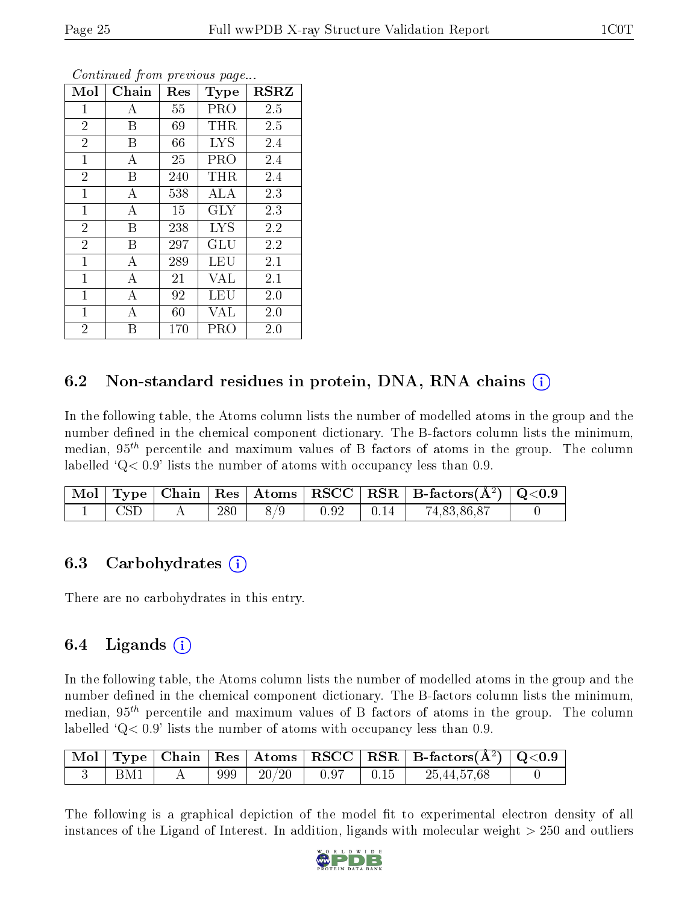| Mol            | Chain | Res | Type       | <b>RSRZ</b> |
|----------------|-------|-----|------------|-------------|
| $\mathbf{1}$   | А     | 55  | PRO        | 2.5         |
| $\overline{2}$ | B     | 69  | THR        | 2.5         |
| $\overline{2}$ | B     | 66  | <b>LYS</b> | 2.4         |
| $\mathbf{1}$   | А     | 25  | PRO        | 2.4         |
| $\overline{2}$ | B     | 240 | THR        | 2.4         |
| $\mathbf{1}$   | А     | 538 | ALA        | 2.3         |
| $\mathbf 1$    | А     | 15  | <b>GLY</b> | 2.3         |
| $\overline{2}$ | B     | 238 | <b>LYS</b> | 2.2         |
| $\overline{2}$ | B     | 297 | GLU        | 2.2         |
| $\mathbf{1}$   | A     | 289 | LEU        | 2.1         |
| $\mathbf{1}$   | А     | 21  | <b>VAL</b> | 2.1         |
| $\mathbf{1}$   | A     | 92  | LEU        | 2.0         |
| $\mathbf{1}$   | А     | 60  | VAL        | 2.0         |
| $\overline{2}$ | B     | 170 | PRO        | 2.0         |

### 6.2 Non-standard residues in protein, DNA, RNA chains (i)

In the following table, the Atoms column lists the number of modelled atoms in the group and the number defined in the chemical component dictionary. The B-factors column lists the minimum, median,  $95<sup>th</sup>$  percentile and maximum values of B factors of atoms in the group. The column labelled  $Q< 0.9$ ' lists the number of atoms with occupancy less than 0.9.

|              |     |     |      |                  | $\mid$ Mol $\mid$ Type $\mid$ Chain $\mid$ Res $\mid$ Atoms $\mid$ RSCC $\mid$ RSR $\mid$ B-factors(Å <sup>2</sup> ) $\mid$ Q<0.9 |  |
|--------------|-----|-----|------|------------------|-----------------------------------------------------------------------------------------------------------------------------------|--|
| $\text{CSD}$ | 280 | 8/9 | 0.92 | $\parallel$ 0.14 | 74,83,86,87                                                                                                                       |  |

### 6.3 Carbohydrates (i)

There are no carbohydrates in this entry.

### 6.4 Ligands  $(i)$

In the following table, the Atoms column lists the number of modelled atoms in the group and the number defined in the chemical component dictionary. The B-factors column lists the minimum, median,  $95<sup>th</sup>$  percentile and maximum values of B factors of atoms in the group. The column labelled  $Q< 0.9$ ' lists the number of atoms with occupancy less than 0.9.

|     |  |                        |                    | $\mid$ Mol $\mid$ Type $\mid$ Chain $\mid$ Res $\mid$ Atoms $\mid$ RSCC $\mid$ RSR $\mid$ B-factors(A <sup>2</sup> ) $\mid$ Q<0.9 |  |
|-----|--|------------------------|--------------------|-----------------------------------------------------------------------------------------------------------------------------------|--|
| BM1 |  | $999$   $20/20$   0.97 | $\vert 0.15 \vert$ | 25,44,57,68                                                                                                                       |  |

The following is a graphical depiction of the model fit to experimental electron density of all instances of the Ligand of Interest. In addition, ligands with molecular weight > 250 and outliers